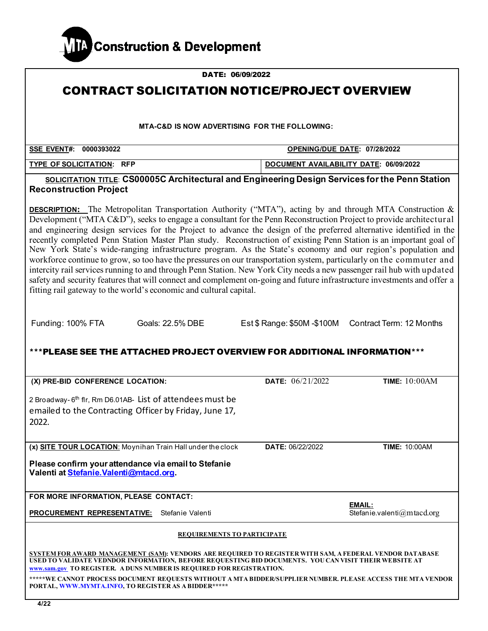

| DATE: 06/09/2022                                                                                                                                                                                                                                                                                                                                                                                                                                                                                                                                                                                                                                                                                                                                                                                                                                                                                                                                                                                                                                        |                                        |                                      |  |  |
|---------------------------------------------------------------------------------------------------------------------------------------------------------------------------------------------------------------------------------------------------------------------------------------------------------------------------------------------------------------------------------------------------------------------------------------------------------------------------------------------------------------------------------------------------------------------------------------------------------------------------------------------------------------------------------------------------------------------------------------------------------------------------------------------------------------------------------------------------------------------------------------------------------------------------------------------------------------------------------------------------------------------------------------------------------|----------------------------------------|--------------------------------------|--|--|
| <b>CONTRACT SOLICITATION NOTICE/PROJECT OVERVIEW</b>                                                                                                                                                                                                                                                                                                                                                                                                                                                                                                                                                                                                                                                                                                                                                                                                                                                                                                                                                                                                    |                                        |                                      |  |  |
|                                                                                                                                                                                                                                                                                                                                                                                                                                                                                                                                                                                                                                                                                                                                                                                                                                                                                                                                                                                                                                                         |                                        |                                      |  |  |
| <b>MTA-C&amp;D IS NOW ADVERTISING FOR THE FOLLOWING:</b>                                                                                                                                                                                                                                                                                                                                                                                                                                                                                                                                                                                                                                                                                                                                                                                                                                                                                                                                                                                                |                                        |                                      |  |  |
| SSE EVENT#: 0000393022<br>OPENING/DUE DATE: 07/28/2022                                                                                                                                                                                                                                                                                                                                                                                                                                                                                                                                                                                                                                                                                                                                                                                                                                                                                                                                                                                                  |                                        |                                      |  |  |
| <b>TYPE OF SOLICITATION: RFP</b>                                                                                                                                                                                                                                                                                                                                                                                                                                                                                                                                                                                                                                                                                                                                                                                                                                                                                                                                                                                                                        | DOCUMENT AVAILABILITY DATE: 06/09/2022 |                                      |  |  |
| SOLICITATION TITLE: CS00005C Architectural and Engineering Design Services for the Penn Station<br><b>Reconstruction Project</b>                                                                                                                                                                                                                                                                                                                                                                                                                                                                                                                                                                                                                                                                                                                                                                                                                                                                                                                        |                                        |                                      |  |  |
| <b>DESCRIPTION:</b> The Metropolitan Transportation Authority ("MTA"), acting by and through MTA Construction &<br>Development ("MTA C&D"), seeks to engage a consultant for the Penn Reconstruction Project to provide architectural<br>and engineering design services for the Project to advance the design of the preferred alternative identified in the<br>recently completed Penn Station Master Plan study. Reconstruction of existing Penn Station is an important goal of<br>New York State's wide-ranging infrastructure program. As the State's economy and our region's population and<br>workforce continue to grow, so too have the pressures on our transportation system, particularly on the commuter and<br>intercity rail services running to and through Penn Station. New York City needs a new passenger rail hub with updated<br>safety and security features that will connect and complement on-going and future infrastructure investments and offer a<br>fitting rail gateway to the world's economic and cultural capital. |                                        |                                      |  |  |
| Funding: 100% FTA<br>Goals: 22.5% DBE                                                                                                                                                                                                                                                                                                                                                                                                                                                                                                                                                                                                                                                                                                                                                                                                                                                                                                                                                                                                                   | Est \$ Range: \$50M -\$100M            | Contract Term: 12 Months             |  |  |
| ***PLEASE SEE THE ATTACHED PROJECT OVERVIEW FOR ADDITIONAL INFORMATION***                                                                                                                                                                                                                                                                                                                                                                                                                                                                                                                                                                                                                                                                                                                                                                                                                                                                                                                                                                               |                                        |                                      |  |  |
| (X) PRE-BID CONFERENCE LOCATION:                                                                                                                                                                                                                                                                                                                                                                                                                                                                                                                                                                                                                                                                                                                                                                                                                                                                                                                                                                                                                        | DATE: 06/21/2022                       | <b>TIME: 10:00AM</b>                 |  |  |
| 2 Broadway-6 <sup>th</sup> flr, Rm D6.01AB- List of attendees must be<br>emailed to the Contracting Officer by Friday, June 17,<br>2022.                                                                                                                                                                                                                                                                                                                                                                                                                                                                                                                                                                                                                                                                                                                                                                                                                                                                                                                |                                        |                                      |  |  |
| (x) SITE TOUR LOCATION: Moynihan Train Hall under the clock                                                                                                                                                                                                                                                                                                                                                                                                                                                                                                                                                                                                                                                                                                                                                                                                                                                                                                                                                                                             | DATE: 06/22/2022                       | <b>TIME: 10:00AM</b>                 |  |  |
| Please confirm your attendance via email to Stefanie<br>Valenti at Stefanie. Valenti@mtacd.org.                                                                                                                                                                                                                                                                                                                                                                                                                                                                                                                                                                                                                                                                                                                                                                                                                                                                                                                                                         |                                        |                                      |  |  |
| FOR MORE INFORMATION, PLEASE CONTACT:                                                                                                                                                                                                                                                                                                                                                                                                                                                                                                                                                                                                                                                                                                                                                                                                                                                                                                                                                                                                                   |                                        |                                      |  |  |
| <b>PROCUREMENT REPRESENTATIVE:</b><br>Stefanie Valenti                                                                                                                                                                                                                                                                                                                                                                                                                                                                                                                                                                                                                                                                                                                                                                                                                                                                                                                                                                                                  |                                        | EMAIL:<br>Stefanie.valenti@mtacd.org |  |  |
| <b>REQUIREMENTS TO PARTICIPATE</b>                                                                                                                                                                                                                                                                                                                                                                                                                                                                                                                                                                                                                                                                                                                                                                                                                                                                                                                                                                                                                      |                                        |                                      |  |  |
| <u>SYSTEM FOR AWARD MANAGEMENT (SAM)</u> ; VENDORS ARE REQUIRED TO REGISTER WITH SAM, A FEDERAL VENDOR DATABASE<br>USED TO VALIDATE VEDNDOR INFORMATION, BEFORE REQUESTING BID DOCUMENTS. YOU CAN VISIT THEIR WEBSITE AT<br>www.sam.gov TO REGISTER. A DUNS NUMBER IS REQUIRED FOR REGISTRATION.<br>*****WE CANNOT PROCESS DOCUMENT REQUESTS WITHOUT A MTA BIDDER/SUPPLIER NUMBER, PLEASE ACCESS THE MTA VENDOR<br>PORTAL, WWW.MYMTA.INFO, TO REGISTER AS A BIDDER******                                                                                                                                                                                                                                                                                                                                                                                                                                                                                                                                                                                |                                        |                                      |  |  |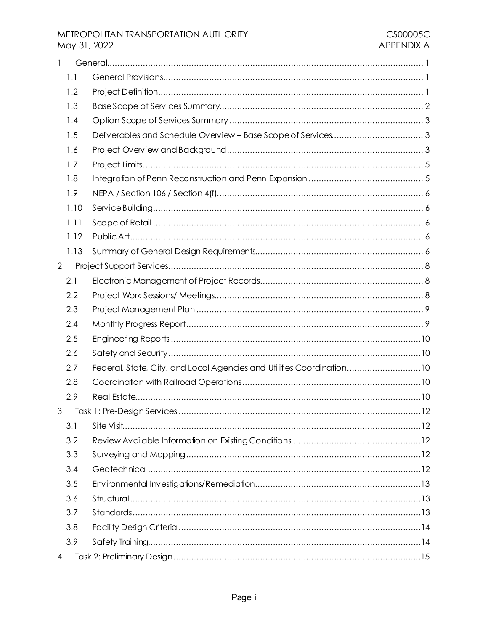# METROPOLITAN TRANSPORTATION AUTHORITY May 31, 2022

| 1              |      |                                                                       |
|----------------|------|-----------------------------------------------------------------------|
|                | 1.1  |                                                                       |
|                | 1.2  |                                                                       |
|                | 1.3  |                                                                       |
|                | 1.4  |                                                                       |
|                | 1.5  |                                                                       |
|                | 1.6  |                                                                       |
|                | 1.7  |                                                                       |
|                | 1.8  |                                                                       |
|                | 1.9  |                                                                       |
|                | 1.10 |                                                                       |
|                | 1.11 |                                                                       |
|                | 1.12 |                                                                       |
|                | 1.13 |                                                                       |
| $\overline{2}$ |      |                                                                       |
|                | 2.1  |                                                                       |
|                | 2.2  |                                                                       |
|                | 2.3  |                                                                       |
|                | 2.4  |                                                                       |
|                | 2.5  |                                                                       |
|                | 2.6  |                                                                       |
|                | 2.7  | Federal, State, City, and Local Agencies and Utilities Coordination10 |
|                | 2.8  |                                                                       |
|                | 2.9  |                                                                       |
| 3              |      | Task 1: Pre-Design Services                                           |
|                | 3.1  |                                                                       |
|                | 3.2  |                                                                       |
|                | 3.3  |                                                                       |
|                | 3.4  |                                                                       |
|                | 3.5  |                                                                       |
|                | 3.6  |                                                                       |
|                | 3.7  |                                                                       |
|                | 3.8  |                                                                       |
|                | 3.9  |                                                                       |
| 4              |      |                                                                       |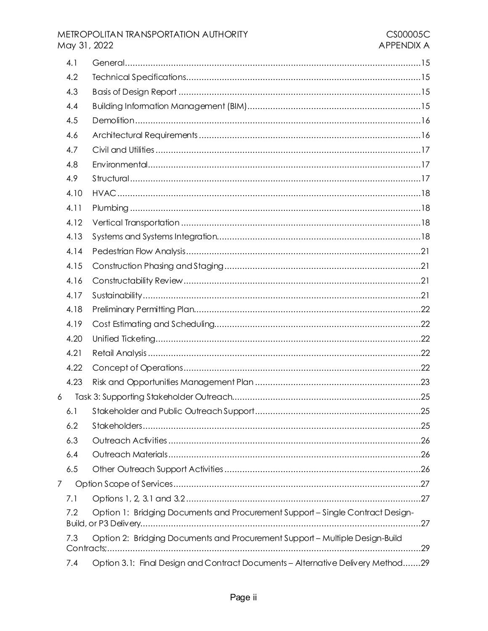# METROPOLITAN TRANSPORTATION AUTHORITY May 31, 2022

|   | 4.1  |                                                                                 |  |
|---|------|---------------------------------------------------------------------------------|--|
|   | 4.2  |                                                                                 |  |
|   | 4.3  |                                                                                 |  |
|   | 4.4  |                                                                                 |  |
|   | 4.5  |                                                                                 |  |
|   | 4.6  |                                                                                 |  |
|   | 4.7  |                                                                                 |  |
|   | 4.8  |                                                                                 |  |
|   | 4.9  |                                                                                 |  |
|   | 4.10 |                                                                                 |  |
|   | 4.11 |                                                                                 |  |
|   | 4.12 |                                                                                 |  |
|   | 4.13 |                                                                                 |  |
|   | 4.14 |                                                                                 |  |
|   | 4.15 |                                                                                 |  |
|   | 4.16 |                                                                                 |  |
|   | 4.17 |                                                                                 |  |
|   | 4.18 |                                                                                 |  |
|   | 4.19 |                                                                                 |  |
|   | 4.20 |                                                                                 |  |
|   | 4.21 |                                                                                 |  |
|   | 4.22 |                                                                                 |  |
|   | 4.23 |                                                                                 |  |
| 6 |      |                                                                                 |  |
|   |      |                                                                                 |  |
|   | 6.2  |                                                                                 |  |
|   | 6.3  |                                                                                 |  |
|   | 6.4  |                                                                                 |  |
|   | 6.5  |                                                                                 |  |
| 7 |      |                                                                                 |  |
|   | 7.1  |                                                                                 |  |
|   | 7.2  | Option 1: Bridging Documents and Procurement Support - Single Contract Design-  |  |
|   | 7.3  | Option 2: Bridging Documents and Procurement Support - Multiple Design-Build    |  |
|   | 7.4  | Option 3.1: Final Design and Contract Documents - Alternative Delivery Method29 |  |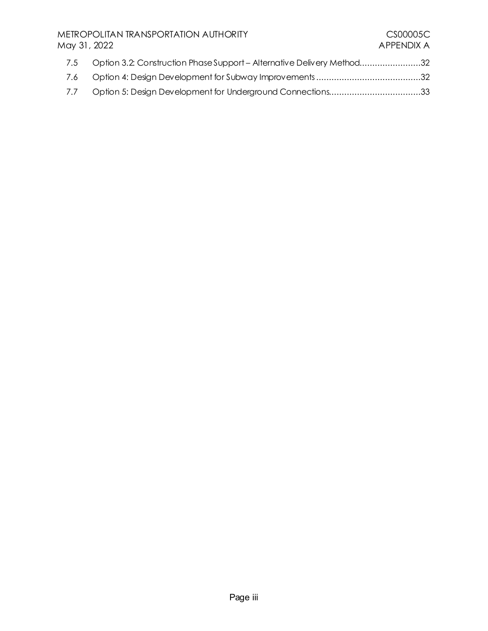# METROPOLITAN TRANSPORTATION AUTHORITY<br>May 31, 2022 APPENDIX A May 31, 2022

| 7.5 Option 3.2: Construction Phase Support - Alternative Delivery Method32 |  |
|----------------------------------------------------------------------------|--|
|                                                                            |  |
| 7.7 Option 5: Design Development for Underground Connections33             |  |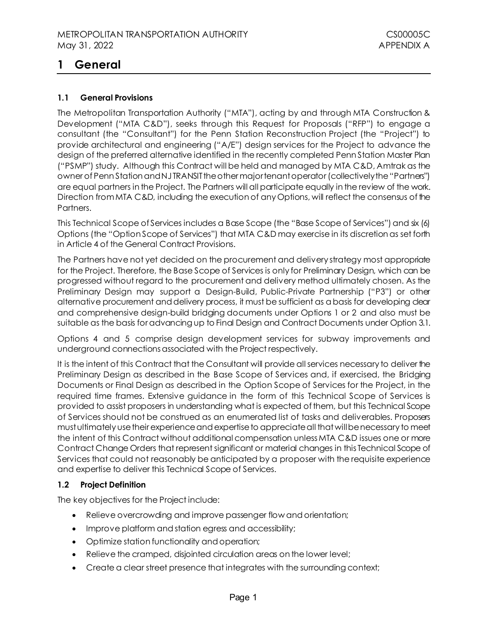# <span id="page-4-0"></span>**1 General**

# <span id="page-4-1"></span>**1.1 General Provisions**

The Metropolitan Transportation Authority ("MTA"), acting by and through MTA Construction & Development ("MTA C&D"), seeks through this Request for Proposals ("RFP") to engage a consultant (the "Consultant") for the Penn Station Reconstruction Project (the "Project") to provide architectural and engineering ("A/E") design services for the Project to advance the design of the preferred alternative identified in the recently completed Penn Station Master Plan ("PSMP") study. Although this Contract will be held and managed by MTA C&D, Amtrak as the owner of Penn Station and NJ TRANSIT the other major tenant operator (collectively the "Partners") are equal partners in the Project. The Partners will all participate equally in the review of the work. Direction from MTA C&D, including the execution of any Options, will reflect the consensus of the Partners.

This Technical Scope of Services includes a Base Scope (the "Base Scope of Services") and six (6) Options (the "Option Scope of Services") that MTA C&D may exercise in its discretion as set forth in Article 4 of the General Contract Provisions.

The Partners have not yet decided on the procurement and delivery strategy most appropriate for the Project. Therefore, the Base Scope of Services is only for Preliminary Design, which can be progressed without regard to the procurement and delivery method ultimately chosen. As the Preliminary Design may support a Design-Build, Public-Private Partnership ("P3") or other alternative procurement and delivery process, it must be sufficient as a basis for developing clear and comprehensive design-build bridging documents under Options 1 or 2 and also must be suitable as the basis for advancing up to Final Design and Contract Documents under Option 3.1.

Options 4 and 5 comprise design development services for subway improvements and underground connections associated with the Project respectively.

It is the intent of this Contract that the Consultant will provide all services necessary to deliver the Preliminary Design as described in the Base Scope of Services and, if exercised, the Bridging Documents or Final Design as described in the Option Scope of Services for the Project, in the required time frames. Extensive guidance in the form of this Technical Scope of Services is provided to assist proposers in understanding what is expected of them, but this Technical Scope of Services should not be construed as an enumerated list of tasks and deliverables. Proposers must ultimately use their experience and expertise to appreciate all that will be necessary to meet the intent of this Contract without additional compensation unless MTA C&D issues one or more Contract Change Orders that represent significant or material changes in this Technical Scope of Services that could not reasonably be anticipated by a proposer with the requisite experience and expertise to deliver this Technical Scope of Services.

# <span id="page-4-2"></span>**1.2 Project Definition**

The key objectives for the Project include:

- Relieve overcrowding and improve passenger flow and orientation;
- Improve platform and station egress and accessibility;
- Optimize station functionality and operation;
- Relieve the cramped, disjointed circulation areas on the lower level;
- Create a clear street presence that integrates with the surrounding context;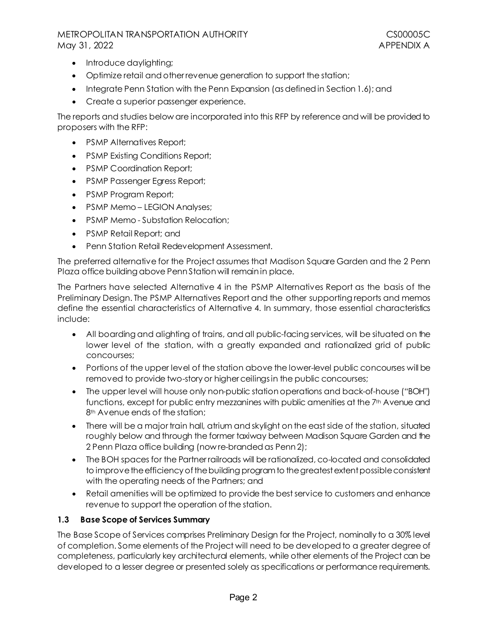- Introduce daylighting;
- Optimize retail and other revenue generation to support the station;
- Integrate Penn Station with the Penn Expansion (as defined in Section 1.6); and
- Create a superior passenger experience.

The reports and studies below are incorporated into this RFP by reference and will be provided to proposers with the RFP:

- PSMP Alternatives Report:
- PSMP Existing Conditions Report;
- PSMP Coordination Report;
- PSMP Passenger Egress Report;
- PSMP Program Report;
- PSMP Memo-LEGION Analyses;
- PSMP Memo Substation Relocation;
- PSMP Retail Report; and
- Penn Station Retail Redevelopment Assessment.

The preferred alternative for the Project assumes that Madison Square Garden and the 2 Penn Plaza office building above Penn Station will remain in place.

The Partners have selected Alternative 4 in the PSMP Alternatives Report as the basis of the Preliminary Design. The PSMP Alternatives Report and the other supporting reports and memos define the essential characteristics of Alternative 4. In summary, those essential characteristics include:

- All boarding and alighting of trains, and all public-facing services, will be situated on the lower level of the station, with a greatly expanded and rationalized grid of public concourses;
- Portions of the upper level of the station above the lower-level public concourses will be removed to provide two-story or higher ceilings in the public concourses;
- The upper level will house only non-public station operations and back-of-house ("BOH") functions, except for public entry mezzanines with public amenities at the 7th Avenue and 8<sup>th</sup> Avenue ends of the station:
- There will be a major train hall, atrium and skylight on the east side of the station, situated roughly below and through the former taxiway between Madison Square Garden and the 2 Penn Plaza office building (now re-branded as Penn 2);
- The BOH spaces for the Partner railroads will be rationalized, co-located and consolidated to improve the efficiency of the building program to the greatest extent possible consistent with the operating needs of the Partners; and
- Retail amenities will be optimized to provide the best service to customers and enhance revenue to support the operation of the station.

#### <span id="page-5-0"></span>**1.3 Base Scope of Services Summary**

The Base Scope of Services comprises Preliminary Design for the Project, nominally to a 30% level of completion. Some elements of the Project will need to be developed to a greater degree of completeness, particularly key architectural elements, while other elements of the Project can be developed to a lesser degree or presented solely as specifications or performance requirements.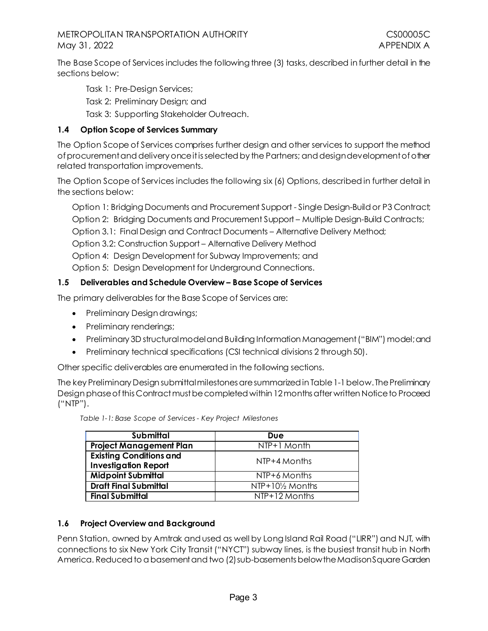The Base Scope of Services includes the following three (3) tasks, described in further detail in the sections below:

Task 1: Pre-Design Services;

Task 2: Preliminary Design; and

Task 3: Supporting Stakeholder Outreach.

# <span id="page-6-0"></span>**1.4 Option Scope of Services Summary**

The Option Scope of Services comprises further design and other services to support the method of procurement and deliveryonce it is selected by the Partners; and design development of other related transportation improvements.

The Option Scope of Services includes the following six (6) Options, described in further detail in the sections below:

Option 1: Bridging Documents and Procurement Support - Single Design-Build or P3 Contract; Option 2: Bridging Documents and Procurement Support – Multiple Design-Build Contracts; Option 3.1: Final Design and Contract Documents – Alternative Delivery Method; Option 3.2: Construction Support – Alternative Delivery Method Option 4: Design Development for Subway Improvements; and Option 5: Design Development for Underground Connections.

# <span id="page-6-1"></span>**1.5 Deliverables and Schedule Overview – Base Scope of Services**

The primary deliverables for the Base Scope of Services are:

- Preliminary Design drawings;
- Preliminary renderings;
- Preliminary 3D structural model and Building Information Management ("BIM") model; and
- Preliminary technical specifications (CSI technical divisions 2 through 50).

Other specific deliverables are enumerated in the following sections.

The key Preliminary Design submittal milestones are summarized i[n Table 1-1](#page-6-3)below. The Preliminary Design phase of this Contract must be completed within 12 months after written Notice to Proceed ("NTP").

<span id="page-6-3"></span>

| Table 1-1: Base Scope of Services - Key Project Milestones |  |
|------------------------------------------------------------|--|
|                                                            |  |

| <b>Submittal</b>               | Due              |  |
|--------------------------------|------------------|--|
| <b>Project Management Plan</b> | NTP+1 Month      |  |
| <b>Existing Conditions and</b> | NTP+4 Months     |  |
| <b>Investigation Report</b>    |                  |  |
| <b>Midpoint Submittal</b>      | NTP+6 Months     |  |
| <b>Draft Final Submittal</b>   | NTP+101/2 Months |  |
| <b>Final Submittal</b>         | NTP+12 Months    |  |

# <span id="page-6-2"></span>**1.6 Project Overview and Background**

Penn Station, owned by Amtrak and used as well by Long Island Rail Road ("LIRR") and NJT, with connections to six New York City Transit ("NYCT") subway lines, is the busiest transit hub in North America. Reduced to a basement and two (2)sub-basements below the Madison Square Garden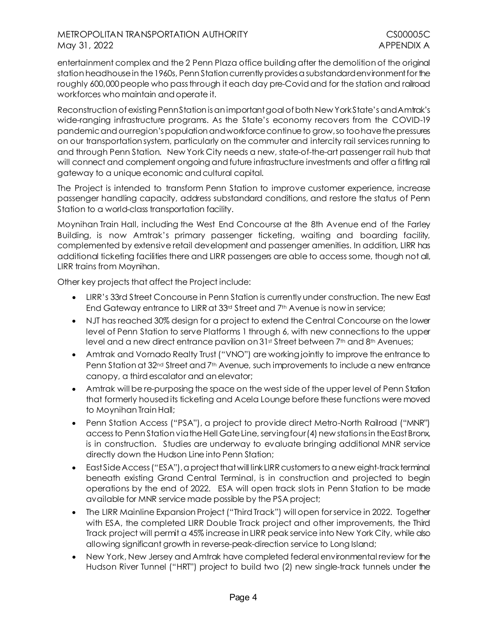entertainment complex and the 2 Penn Plaza office building after the demolition of the original station headhousein the 1960s, Penn Station currently provides a substandard environment for the roughly 600,000 people who passthrough it each day pre-Covid and for the station and railroad workforces who maintain and operate it.

Reconstruction of existing Penn Station is an important goal of both New York State's and Amtrak's wide-ranging infrastructure programs. As the State's economy recovers from the COVID-19 pandemicand our region's population and workforce continue to grow, so too have the pressures on our transportation system, particularly on the commuter and intercity rail services running to and through Penn Station. New York City needs a new, state-of-the-art passenger rail hub that will connect and complement ongoing and future infrastructure investments and offer a fitting rail gateway to a unique economic and cultural capital.

The Project is intended to transform Penn Station to improve customer experience, increase passenger handling capacity, address substandard conditions, and restore the status of Penn Station to a world-class transportation facility.

Moynihan Train Hall, including the West End Concourse at the 8th Avenue end of the Farley Building, is now Amtrak's primary passenger ticketing, waiting and boarding facility, complemented by extensive retail development and passenger amenities. In addition, LIRR has additional ticketing facilities there and LIRR passengers are able to access some, though not all, LIRR trains from Moynihan.

Other key projects that affect the Project include:

- LIRR's 33rd Street Concourse in Penn Station is currently under construction. The new East End Gateway entrance to LIRR at 33rd Street and 7th Avenue is now in service;
- NJT has reached 30% design for a project to extend the Central Concourse on the lower level of Penn Station to serve Platforms 1 through 6, with new connections to the upper level and a new direct entrance pavilion on 31st Street between 7th and 8th Avenues;
- Amtrak and Vornado Realty Trust ("VNO") are working jointly to improve the entrance to Penn Station at 32<sup>nd</sup> Street and 7<sup>th</sup> Avenue, such improvements to include a new entrance canopy, a third escalator and an elevator;
- Amtrak will be re-purposing the space on the west side of the upper level of Penn Station that formerly housed its ticketing and Acela Lounge before these functions were moved to Moynihan Train Hall;
- Penn Station Access ("PSA"), a project to provide direct Metro-North Railroad ("MNR") access to Penn Station via the Hell Gate Line, serving four (4) new stations in the East Bronx, is in construction. Studies are underway to evaluate bringing additional MNR service directly down the Hudson Line into Penn Station;
- East Side Access("ESA"), a project that will link LIRR customers to a new eight-track terminal beneath existing Grand Central Terminal, is in construction and projected to begin operations by the end of 2022. ESA will open track slots in Penn Station to be made available for MNR service made possible by the PSA project;
- The LIRR Mainline Expansion Project ("Third Track") will open for service in 2022. Together with ESA, the completed LIRR Double Track project and other improvements, the Third Track project will permit a 45% increase in LIRR peak service into New York City, while also allowing significant growth in reverse-peak-direction service to Long Island;
- New York, New Jersey and Amtrak have completed federal environmental review for the Hudson River Tunnel ("HRT") project to build two (2) new single-track tunnels under the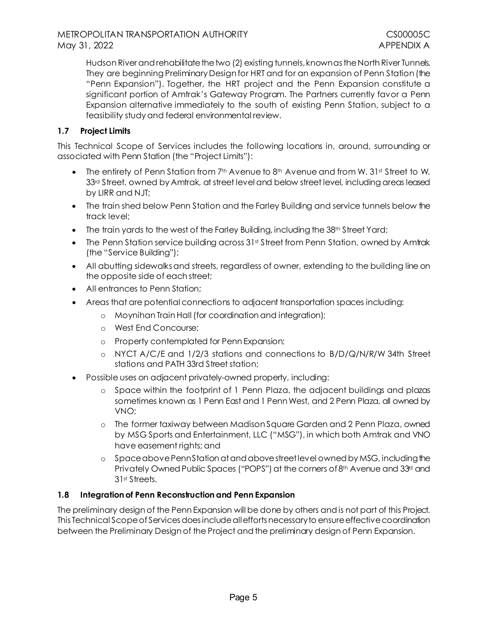Hudson River and rehabilitate the two (2) existing tunnels, known as the North River Tunnels. They are beginning Preliminary Design for HRT and for an expansion of Penn Station (the "Penn Expansion"). Together, the HRT project and the Penn Expansion constitute a significant portion of Amtrak's Gateway Program. The Partners currently favor a Penn Expansion alternative immediately to the south of existing Penn Station, subject to a feasibility study and federal environmental review.

# <span id="page-8-0"></span>**1.7 Project Limits**

This Technical Scope of Services includes the following locations in, around, surrounding or associated with Penn Station (the "Project Limits"):

- The entirety of Penn Station from  $7<sup>th</sup>$  Avenue to  $8<sup>th</sup>$  Avenue and from W. 31st Street to W. 33<sup>rd</sup> Street, owned by Amtrak, at street level and below street level, including areas leased by LIRR and NJT;
- The train shed below Penn Station and the Farley Building and service tunnels below the track level;
- The train yards to the west of the Farley Building, including the  $38<sup>th</sup>$  Street Yard;
- The Penn Station service building across 31st Street from Penn Station, owned by Amtrak (the "Service Building");
- All abutting sidewalks and streets, regardless of owner, extending to the building line on the opposite side of each street;
- All entrances to Penn Station;
- Areas that are potential connections to adjacent transportation spaces including:
	- o Moynihan Train Hall (for coordination and integration);
	- o West End Concourse;
	- o Property contemplated for Penn Expansion;
	- o NYCT A/C/E and 1/2/3 stations and connections to B/D/Q/N/R/W 34th Street stations and PATH 33rd Street station;
- Possible uses on adjacent privately-owned property, including:
	- o Space within the footprint of 1 Penn Plaza, the adjacent buildings and plazas sometimes known as 1 Penn East and 1 Penn West, and 2 Penn Plaza, all owned by VNO;
	- o The former taxiway between Madison Square Garden and 2 Penn Plaza, owned by MSG Sports and Entertainment, LLC ("MSG"), in which both Amtrak and VNO have easement rights; and
	- o Space above Penn Station at and above street level owned by MSG, including the Privately Owned Public Spaces ("POPS") at the corners of 8<sup>th</sup> Avenue and 33<sup>d</sup> and 31st Streets.

# <span id="page-8-1"></span>**1.8 Integration of Penn Reconstruction and Penn Expansion**

The preliminary design of the Penn Expansion will be done by others and is not part of this Project. This Technical Scope of Services does include all efforts necessary to ensure effectivecoordination between the Preliminary Design of the Project and the preliminary design of Penn Expansion.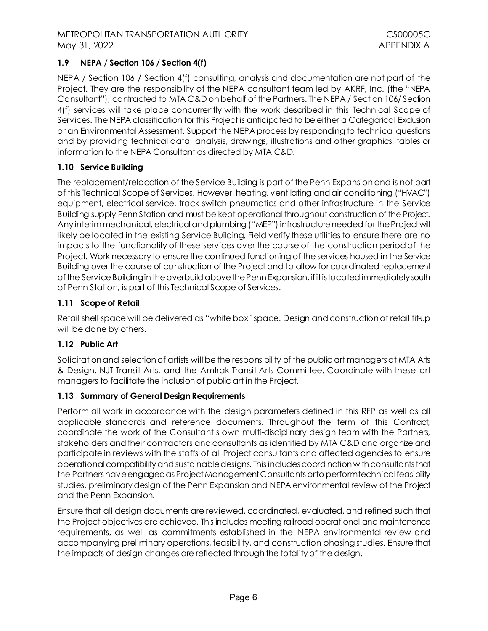# METROPOLITAN TRANSPORTATION AUTHORITY **COMPUTER SHOW ALL ASSESS** May 31, 2022 **APPENDIX A**

# <span id="page-9-0"></span>**1.9 NEPA / Section 106 / Section 4(f)**

NEPA / Section 106 / Section 4(f) consulting, analysis and documentation are not part of the Project. They are the responsibility of the NEPA consultant team led by AKRF, Inc. (the "NEPA Consultant"), contracted to MTA C&D on behalf of the Partners. The NEPA / Section 106/ Section 4(f) services will take place concurrently with the work described in this Technical Scope of Services. The NEPA classification for this Project is anticipated to be either a Categorical Exclusion or an Environmental Assessment. Support the NEPA process by responding to technical questions and by providing technical data, analysis, drawings, illustrations and other graphics, tables or information to the NEPA Consultant as directed by MTA C&D.

# <span id="page-9-1"></span>**1.10 Service Building**

The replacement/relocation of the Service Building is part of the Penn Expansion and is not part of this Technical Scope of Services. However, heating, ventilating and air conditioning ("HVAC") equipment, electrical service, track switch pneumatics and other infrastructure in the Service Building supply Penn Station and must be kept operational throughout construction of the Project. Any interimmechanical, electrical and plumbing ("MEP") infrastructure needed for the Project will likely be located in the existing Service Building. Field verify these utilities to ensure there are no impacts to the functionality of these services over the course of the construction period of the Project. Work necessary to ensure the continued functioning of the services housed in the Service Building over the course of construction of the Project and to allow for coordinated replacement of the Service Building in the overbuild above the Penn Expansion, if it is located immediately south of Penn Station, is part of this Technical Scope of Services.

# <span id="page-9-2"></span>**1.11 Scope of Retail**

Retail shell space will be delivered as "white box" space. Design and constructionof retail fit-up will be done by others.

# <span id="page-9-3"></span>**1.12 Public Art**

Solicitation and selection of artists will be the responsibility of the public art managers at MTA Arts & Design, NJT Transit Arts, and the Amtrak Transit Arts Committee. Coordinate with these art managers to facilitate the inclusion of public art in the Project.

# <span id="page-9-4"></span>**1.13 Summary of General Design Requirements**

Perform all work in accordance with the design parameters defined in this RFP as well as all applicable standards and reference documents. Throughout the term of this Contract, coordinate the work of the Consultant's own multi-disciplinary design team with the Partners, stakeholders and their contractors and consultants as identified by MTA C&D and organize and participate in reviews with the staffs of all Project consultants and affected agencies to ensure operational compatibility and sustainable designs. This includes coordination with consultants that the Partnershave engagedas Project Management Consultants or to perform technical feasibility studies, preliminary design of the Penn Expansion and NEPA environmental review of the Project and the Penn Expansion.

Ensure that all design documents are reviewed, coordinated, evaluated, and refined such that the Project objectives are achieved. This includes meeting railroad operational and maintenance requirements, as well as commitments established in the NEPA environmental review and accompanying preliminary operations, feasibility, and construction phasing studies. Ensure that the impacts of design changes are reflected through the totality of the design.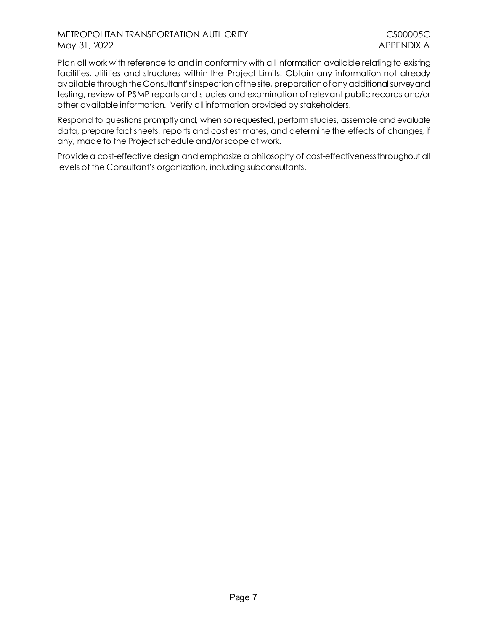## METROPOLITAN TRANSPORTATION AUTHORITY **COMPUTER SHOW AND THE COMPUTER SHOW ASSESS** May 31, 2022 **APPENDIX A**

Plan all work with reference to and in conformity with all information available relating to existing facilities, utilities and structures within the Project Limits. Obtain any information not already available through the Consultant'sinspection of the site, preparation of any additional survey and testing, review of PSMP reports and studies and examination of relevant public records and/or other available information. Verify all information provided by stakeholders.

Respond to questions promptly and, when so requested, perform studies, assemble and evaluate data, prepare fact sheets, reports and cost estimates, and determine the effects of changes, if any, made to the Project schedule and/or scope of work.

Provide a cost-effective design and emphasize a philosophy of cost-effectiveness throughout all levels of the Consultant's organization, including subconsultants.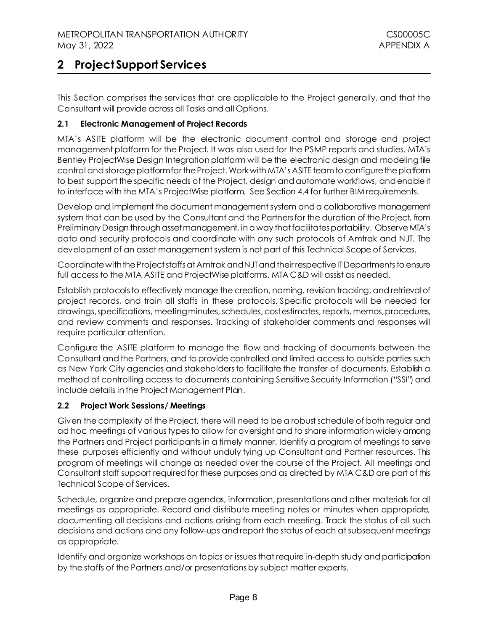# <span id="page-11-0"></span>**2 Project Support Services**

This Section comprises the services that are applicable to the Project generally, and that the Consultant will provide across all Tasks and all Options.

## <span id="page-11-1"></span>**2.1 Electronic Management of Project Records**

MTA's ASITE platform will be the electronic document control and storage and project management platform for the Project. It was also used for the PSMP reports and studies. MTA's Bentley ProjectWise Design Integration platform will be the electronic design and modeling file control and storage platform for the Project. Work with MTA's ASITE team to configure the platform to best support the specific needs of the Project, design and automate workflows, and enable it to interface with the MTA's ProjectWise platform. See Sectio[n 4.4](#page-18-4) for further BIM requirements.

Develop and implement the document management system and a collaborative management system that can be used by the Consultant and the Partners for the duration of the Project, from Preliminary Design through asset management, in a way that facilitates portability. Observe MTA's data and security protocols and coordinate with any such protocols of Amtrak and NJT. The development of an asset management system is not part of this Technical Scope of Services.

Coordinate with the Project staffs at Amtrak and NJT and their respective IT Departments to ensure full access to the MTA ASITE and ProjectWise platforms. MTA C&D will assist as needed.

Establish protocolsto effectively manage the creation, naming, revision tracking, and retrieval of project records, and train all staffs in these protocols. Specific protocols will be needed for drawings, specifications, meeting minutes, schedules, cost estimates, reports, memos, procedures, and review comments and responses. Tracking of stakeholder comments and responses will require particular attention.

Configure the ASITE platform to manage the flow and tracking of documents between the Consultant and the Partners, and to provide controlled and limited access to outside parties such as New York City agencies and stakeholders to facilitate the transfer of documents. Establish a method of controlling access to documents containing Sensitive Security Information ("SSI") and include details in the Project Management Plan.

#### <span id="page-11-2"></span>**2.2 Project Work Sessions/ Meetings**

Given the complexity of the Project, there will need to be a robust schedule of both regular and ad hoc meetings of various types to allow for oversight and to share information widely among the Partners and Project participants in a timely manner. Identify a program of meetings to serve these purposes efficiently and without unduly tying up Consultant and Partner resources. This program of meetings will change as needed over the course of the Project. All meetings and Consultant staff support required for these purposes and as directed by MTA C&D are part of this Technical Scope of Services.

Schedule, organize and prepare agendas, information, presentations and other materials for all meetings as appropriate. Record and distribute meeting notes or minutes when appropriate, documenting all decisions and actions arising from each meeting. Track the status of all such decisions and actions and any follow-ups and report the status of each at subsequent meetings as appropriate.

Identify and organize workshops on topics or issues that require in-depth study and participation by the staffs of the Partners and/or presentations by subject matter experts.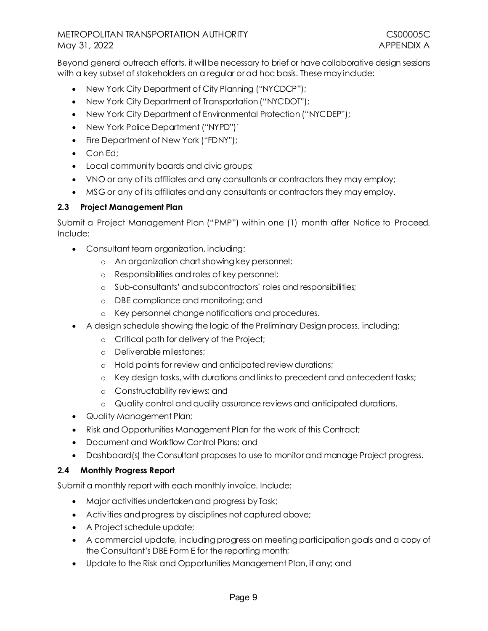Beyond general outreach efforts, it will be necessary to brief or have collaborative design sessions with a key subset of stakeholders on a regular or ad hoc basis. These may include:

- New York City Department of City Planning ("NYCDCP");
- New York City Department of Transportation ("NYCDOT");
- New York City Department of Environmental Protection ("NYCDEP");
- New York Police Department ("NYPD")'
- Fire Department of New York ("FDNY");
- Con Ed;
- Local community boards and civic groups;
- VNO or any of its affiliates and any consultants or contractors they may employ;
- MSG or any of its affiliates and any consultants or contractors they may employ.

## <span id="page-12-0"></span>**2.3 Project Management Plan**

Submit a Project Management Plan ("PMP") within one (1) month after Notice to Proceed. Include:

- Consultant team organization, including:
	- o An organization chart showing key personnel;
	- o Responsibilities and roles of key personnel;
	- o Sub-consultants' and subcontractors' roles and responsibilities;
	- o DBE compliance and monitoring; and
	- o Key personnel change notifications and procedures.
- A design schedule showing the logic of the Preliminary Design process, including:
	- o Critical path for delivery of the Project;
	- o Deliverable milestones;
	- o Hold points for review and anticipated review durations;
	- o Key design tasks, with durations and links to precedent and antecedent tasks;
	- o Constructability reviews; and
	- o Quality control and quality assurance reviews and anticipated durations.
- Quality Management Plan;
- Risk and Opportunities Management Plan for the work of this Contract;
- Document and Workflow Control Plans: and
- Dashboard(s) the Consultant proposes to use to monitor and manage Project progress.

#### <span id="page-12-1"></span>**2.4 Monthly Progress Report**

Submit a monthly report with each monthly invoice. Include:

- Major activities undertaken and progress by Task;
- Activities and progress by disciplines not captured above;
- A Project schedule update;
- A commercial update, including progress on meeting participation goals and a copy of the Consultant's DBE Form E for the reporting month;
- Update to the Risk and Opportunities Management Plan, if any; and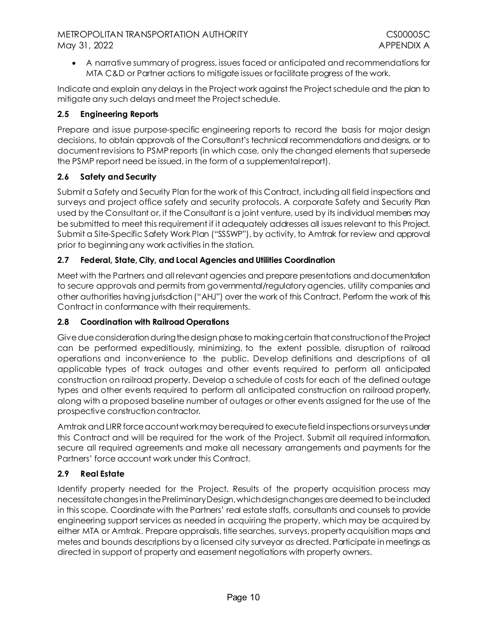• A narrative summary of progress, issues faced or anticipated and recommendations for MTA C&D or Partner actions to mitigate issues or facilitate progress of the work.

Indicate and explain any delays in the Project work against the Project schedule and the plan to mitigate any such delays and meet the Project schedule.

# <span id="page-13-0"></span>**2.5 Engineering Reports**

Prepare and issue purpose-specific engineering reports to record the basis for major design decisions, to obtain approvals of the Consultant's technical recommendations and designs, or to document revisions to PSMP reports (in which case, only the changed elements that supersede the PSMP report need be issued, in the form of a supplemental report).

# <span id="page-13-1"></span>**2.6 Safety and Security**

Submit a Safety and Security Plan for the work of this Contract, including all field inspections and surveys and project office safety and security protocols. A corporate Safety and Security Plan used by the Consultant or, if the Consultant is a joint venture, used by its individual members may be submitted to meet this requirement if it adequately addresses all issues relevant to this Project. Submit a Site-Specific Safety Work Plan ("SSSWP"), by activity, to Amtrak for review and approval prior to beginning any work activities in the station.

# <span id="page-13-2"></span>**2.7 Federal, State, City, and Local Agencies and Utilities Coordination**

Meet with the Partners and all relevant agencies and prepare presentations and documentation to secure approvals and permits from governmental/regulatory agencies, utility companies and other authorities having jurisdiction ("AHJ") over the work of this Contract. Perform the work of this Contract in conformance with their requirements.

# <span id="page-13-3"></span>**2.8 Coordination with Railroad Operations**

Give due consideration during the design phase to makingcertain that constructionof the Project can be performed expeditiously, minimizing, to the extent possible, disruption of railroad operations and inconvenience to the public. Develop definitions and descriptions of all applicable types of track outages and other events required to perform all anticipated construction on railroad property. Develop a schedule of costs for each of the defined outage types and other events required to perform all anticipated construction on railroad property, along with a proposed baseline number of outages or other events assigned for the use of the prospective construction contractor.

Amtrak and LIRR force account work may be required to execute field inspections or surveys under this Contract and will be required for the work of the Project. Submit all required information, secure all required agreements and make all necessary arrangements and payments for the Partners' force account work under this Contract.

# <span id="page-13-4"></span>**2.9 Real Estate**

Identify property needed for the Project. Results of the property acquisition process may necessitate changes in the Preliminary Design, which design changes are deemed to be included in this scope. Coordinate with the Partners' real estate staffs, consultants and counsels to provide engineering support services as needed in acquiring the property, which may be acquired by either MTA or Amtrak. Prepare appraisals, title searches, surveys, property acquisition maps and metes and bounds descriptions by a licensed city surveyor as directed. Participate in meetings as directed in support of property and easement negotiations with property owners.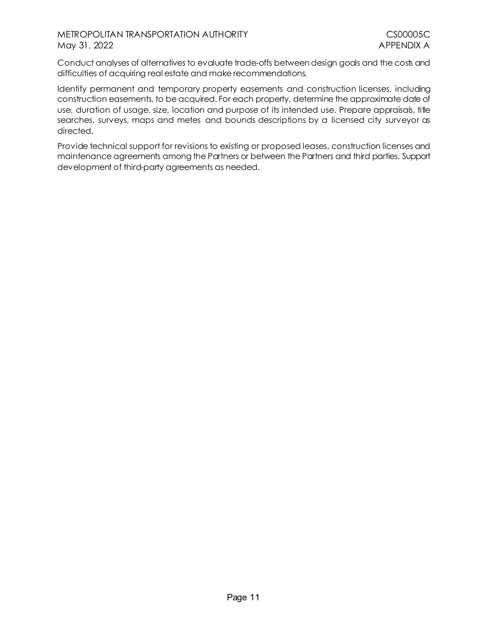Conduct analyses of alternatives to evaluate trade-offs between design goals and the costs and difficulties of acquiring real estate and make recommendations.

Identify permanent and temporary property easements and construction licenses, including construction easements, to be acquired. For each property, determine the approximate date of use, duration of usage, size, location and purpose of its intended use. Prepare appraisals, title searches, surveys, maps and metes and bounds descriptions by a licensed city surveyor as directed.

Provide technical support for revisions to existing or proposed leases, construction licenses and maintenance agreements among the Partners or between the Partners and third parties. Support development of third-party agreements as needed.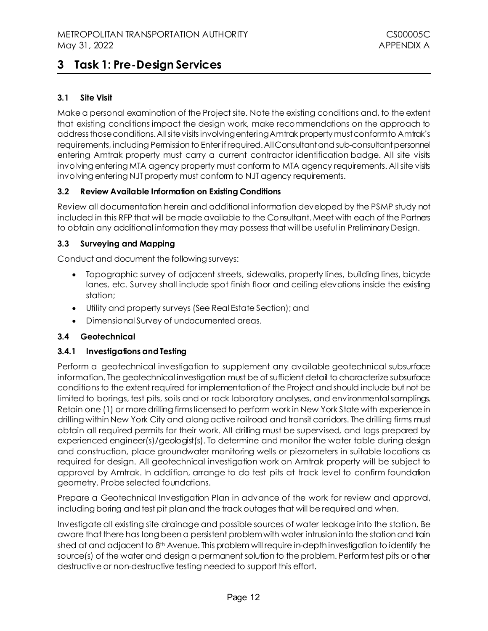# <span id="page-15-0"></span>**3 Task 1: Pre-Design Services**

# <span id="page-15-1"></span>**3.1 Site Visit**

Make a personal examination of the Project site. Note the existing conditions and, to the extent that existing conditions impact the design work, make recommendations on the approach to address those conditions. All site visits involving entering Amtrak property mustconform to Amtrak's requirements, including Permission to Enter if required. All Consultant and sub-consultant personnel entering Amtrak property must carry a current contractor identification badge. All site visits involving entering MTA agency property must conform to MTA agency requirements. All site visits involving entering NJT property must conform to NJT agency requirements.

#### <span id="page-15-2"></span>**3.2 Review Available Information on Existing Conditions**

Review all documentation herein and additional information developed by the PSMP study not included in this RFP that will be made available to the Consultant. Meet with each of the Partners to obtain any additional information they may possess that will be useful in Preliminary Design.

#### <span id="page-15-3"></span>**3.3 Surveying and Mapping**

Conduct and document the following surveys:

- Topographic survey of adjacent streets, sidewalks, property lines, building lines, bicyde lanes, etc. Survey shall include spot finish floor and ceiling elevations inside the existing station;
- Utility and property surveys (See Real Estate Section); and
- Dimensional Survey of undocumented areas.

#### <span id="page-15-4"></span>**3.4 Geotechnical**

#### **3.4.1 Investigations and Testing**

Perform a geotechnical investigation to supplement any available geotechnical subsurface information. The geotechnical investigation must be of sufficient detail to characterize subsurface conditions to the extent required for implementation of the Project and should include but not be limited to borings, test pits, soils and or rock laboratory analyses, and environmental samplings. Retain one (1) or more drilling firms licensed to perform work in New York State with experience in drilling within New York City and along active railroad and transit corridors. The drilling firms must obtain all required permits for their work. All drilling must be supervised, and logs prepared by experienced engineer(s)/geologist(s). To determine and monitor the water table during design and construction, place groundwater monitoring wells or piezometers in suitable locations as required for design. All geotechnical investigation work on Amtrak property will be subject to approval by Amtrak. In addition, arrange to do test pits at track level to confirm foundation geometry. Probe selected foundations.

Prepare a Geotechnical Investigation Plan in advance of the work for review and approval, including boring and test pit plan and the track outages that will be required and when.

Investigate all existing site drainage and possible sources of water leakage into the station. Be aware that there has long been a persistent problem with water intrusion into the station and train shed at and adjacent to 8<sup>th</sup> Avenue. This problem will require in-depth investigation to identify the source(s) of the water and design a permanent solution to the problem. Perform test pits or other destructive or non-destructive testing needed to support this effort.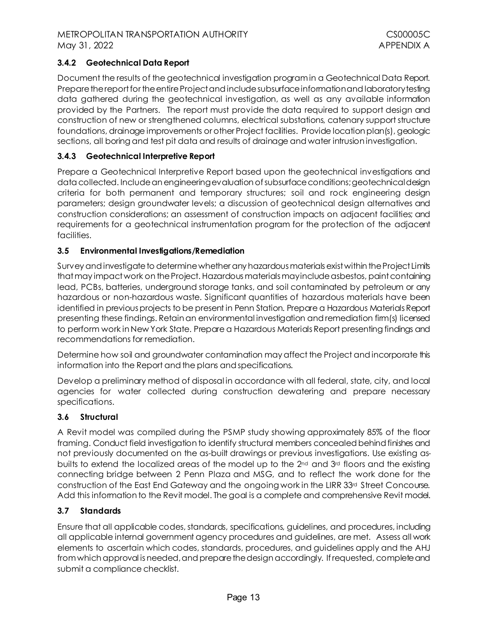## **3.4.2 Geotechnical Data Report**

Document the results of the geotechnical investigation program in a Geotechnical Data Report. Prepare the report for the entire Project and include subsurface information and laboratory testing data gathered during the geotechnical investigation, as well as any available information provided by the Partners. The report must provide the data required to support design and construction of new or strengthened columns, electrical substations, catenary support structure foundations, drainage improvements or other Project facilities. Provide location plan(s), geologic sections, all boring and test pit data and results of drainage and water intrusion investigation.

#### **3.4.3 Geotechnical Interpretive Report**

Prepare a Geotechnical Interpretive Report based upon the geotechnical investigations and data collected. Include an engineering evaluation of subsurface conditions; geotechnical design criteria for both permanent and temporary structures; soil and rock engineering design parameters; design groundwater levels; a discussion of geotechnical design alternatives and construction considerations; an assessment of construction impacts on adjacent facilities; and requirements for a geotechnical instrumentation program for the protection of the adjacent facilities.

#### <span id="page-16-0"></span>**3.5 Environmental Investigations/Remediation**

Survey and investigate to determine whether any hazardous materials exist within the Project Limits that may impact work on the Project. Hazardous materials may include asbestos, paint containing lead, PCBs, batteries, underground storage tanks, and soil contaminated by petroleum or any hazardous or non-hazardous waste. Significant quantities of hazardous materials have been identified in previous projects to be present in Penn Station. Prepare a Hazardous Materials Report presenting these findings. Retain an environmental investigation and remediation firm(s) licensed to perform work in New York State. Prepare a Hazardous Materials Report presenting findings and recommendations for remediation.

Determine how soil and groundwater contamination may affect the Project andincorporate this information into the Report and the plans and specifications.

Develop a preliminary method of disposal in accordance with all federal, state, city, and local agencies for water collected during construction dewatering and prepare necessary specifications.

#### <span id="page-16-1"></span>**3.6 Structural**

A Revit model was compiled during the PSMP study showing approximately 85% of the floor framing. Conduct field investigation to identify structural members concealed behind finishes and not previously documented on the as-built drawings or previous investigations. Use existing asbuilts to extend the localized areas of the model up to the  $2^{nd}$  and  $3^{rd}$  floors and the existing connecting bridge between 2 Penn Plaza and MSG, and to reflect the work done for the construction of the East End Gateway and the ongoing work in the LIRR 33<sup>rd</sup> Street Concourse. Add this information to the Revit model. The goal is a complete and comprehensive Revit model.

#### <span id="page-16-2"></span>**3.7 Standards**

Ensure that all applicable codes, standards, specifications, guidelines, and procedures, including all applicable internal government agency procedures and guidelines, are met. Assess all work elements to ascertain which codes, standards, procedures, and guidelines apply and the AHJ from which approval is needed, and prepare the design accordingly. If requested, complete and submit a compliance checklist.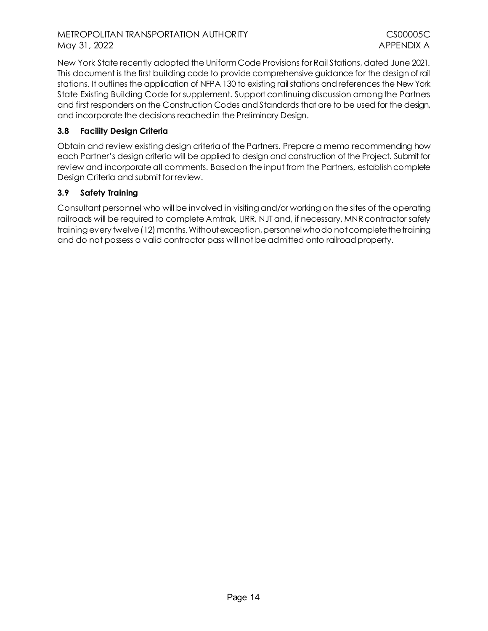New York State recently adopted the Uniform Code Provisions for Rail Stations, dated June 2021. This document is the first building code to provide comprehensive guidance for the design of rail stations. It outlines the application of NFPA 130 to existing rail stations and references the New York State Existing Building Code for supplement. Support continuing discussion among the Partners and first responders on the Construction Codes and Standards that are to be used for the design, and incorporate the decisions reached in the Preliminary Design.

## <span id="page-17-0"></span>**3.8 Facility Design Criteria**

Obtain and review existing design criteria of the Partners. Prepare a memo recommending how each Partner's design criteria will be applied to design and construction of the Project. Submit for review and incorporate all comments. Based on the input from the Partners, establish complete Design Criteria and submit for review.

#### <span id="page-17-1"></span>**3.9 Safety Training**

Consultant personnel who will be involved in visiting and/or working on the sites of the operating railroads will be required to complete Amtrak, LIRR, NJT and, if necessary, MNR contractor safety training every twelve (12) months. Without exception, personnel whodo not complete the training and do not possess a valid contractor pass will not be admitted onto railroad property.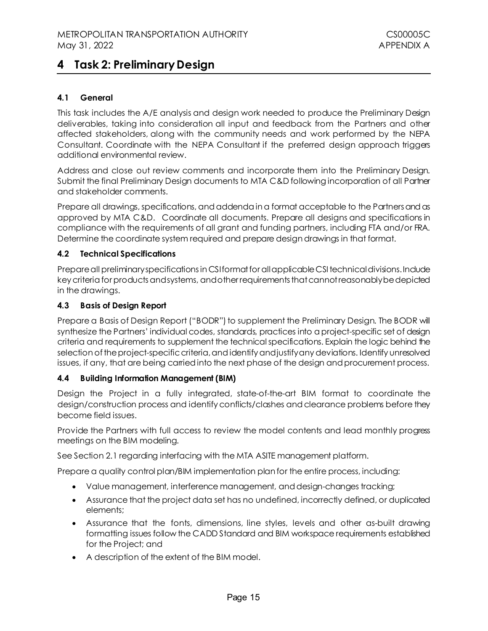# <span id="page-18-0"></span>**4 Task 2: Preliminary Design**

## <span id="page-18-1"></span>**4.1 General**

This task includes the A/E analysis and design work needed to produce the Preliminary Design deliverables, taking into consideration all input and feedback from the Partners and other affected stakeholders, along with the community needs and work performed by the NEPA Consultant. Coordinate with the NEPA Consultant if the preferred design approach triggers additional environmental review.

Address and close out review comments and incorporate them into the Preliminary Design. Submit the final Preliminary Design documents to MTA C&D following incorporation of all Partner and stakeholder comments.

Prepare all drawings, specifications, and addenda in a format acceptable to the Partners and as approved by MTA C&D. Coordinate all documents. Prepare all designs and specifications in compliance with the requirements of all grant and funding partners, including FTA and/or FRA. Determine the coordinate system required and prepare design drawings in that format.

#### <span id="page-18-2"></span>**4.2 Technical Specifications**

Prepare all preliminary specifications in CSI format for all applicable CSI technical divisions. Include key criteria for products and systems, and other requirements that cannot reasonably be depicted in the drawings.

#### <span id="page-18-3"></span>**4.3 Basis of Design Report**

Prepare a Basis of Design Report ("BODR") to supplement the Preliminary Design. The BODR will synthesize the Partners' individual codes, standards, practices into a project-specific set of design criteria and requirements to supplement the technical specifications. Explain the logic behind the selection of the project-specific criteria, and identify and justify any deviations. Identify unresolved issues, if any, that are being carried into the next phase of the design and procurement process.

#### <span id="page-18-4"></span>**4.4 Building Information Management (BIM)**

Design the Project in a fully integrated, state-of-the-art BIM format to coordinate the design/construction process and identify conflicts/clashes and clearance problems before they become field issues.

Provide the Partners with full access to review the model contents and lead monthly progress meetings on the BIM modeling.

See Section 2.1 regarding interfacing with the MTA ASITE management platform.

Prepare a quality control plan/BIM implementation plan for the entire process, including:

- Value management, interference management, and design-changes tracking;
- Assurance that the project data set has no undefined, incorrectly defined, or duplicated elements;
- Assurance that the fonts, dimensions, line styles, levels and other as-built drawing formatting issues follow the CADD Standard and BIM workspace requirements established for the Project; and
- A description of the extent of the BIM model.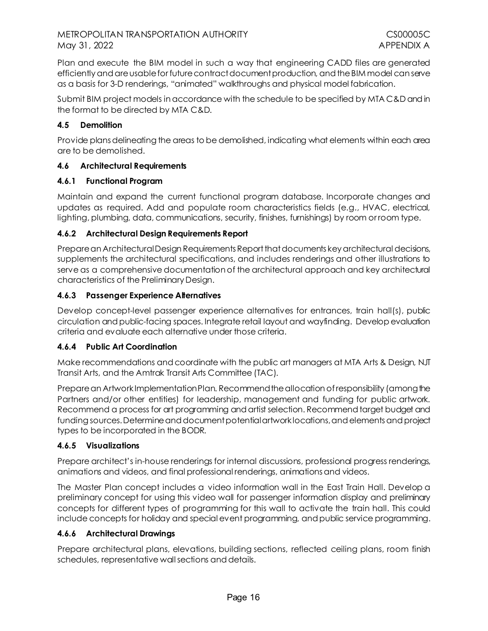Plan and execute the BIM model in such a way that engineering CADD files are generated efficiently and are usable for future contract document production, and theBIM model can serve as a basis for 3-D renderings, "animated" walkthroughs and physical model fabrication.

Submit BIM project models in accordance with the schedule to be specified by MTA C&D and in the format to be directed by MTA C&D.

# <span id="page-19-0"></span>**4.5 Demolition**

Provide plans delineating the areas to be demolished, indicating what elements within each area are to be demolished.

# <span id="page-19-1"></span>**4.6 Architectural Requirements**

## **4.6.1 Functional Program**

Maintain and expand the current functional program database. Incorporate changes and updates as required. Add and populate room characteristics fields (e.g., HVAC, electrical, lighting, plumbing, data, communications, security, finishes, furnishings) by room or room type.

## **4.6.2 Architectural Design Requirements Report**

Prepare an Architectural Design Requirements Report that documents key architectural decisions, supplements the architectural specifications, and includes renderings and other illustrations to serve as a comprehensive documentation of the architectural approach and key architectural characteristics of the Preliminary Design.

## **4.6.3 Passenger Experience Alternatives**

Develop concept-level passenger experience alternatives for entrances, train hall(s), public circulation and public-facing spaces. Integrate retail layout and wayfinding. Develop evaluation criteria and evaluate each alternative under those criteria.

#### **4.6.4 Public Art Coordination**

Make recommendations and coordinate with the public art managers at MTA Arts & Design, NJT Transit Arts, and the Amtrak Transit Arts Committee (TAC).

Prepare an Artwork Implementation Plan. Recommend the allocation of responsibility (among the Partners and/or other entities) for leadership, management and funding for public artwork. Recommend a process for art programming and artist selection. Recommend target budget and funding sources.Determine and document potential artwork locations, and elements and project types to be incorporated in the BODR.

#### **4.6.5 Visualizations**

Prepare architect's in-house renderings for internal discussions, professional progress renderings, animations and videos, and final professional renderings, animationsand videos.

The Master Plan concept includes a video information wall in the East Train Hall. Develop a preliminary concept for using this video wall for passenger information display and preliminary concepts for different types of programming for this wall to activate the train hall. This could include concepts for holiday and special event programming, and public service programming.

#### **4.6.6 Architectural Drawings**

Prepare architectural plans, elevations, building sections, reflected ceiling plans, room finish schedules, representative wall sections and details.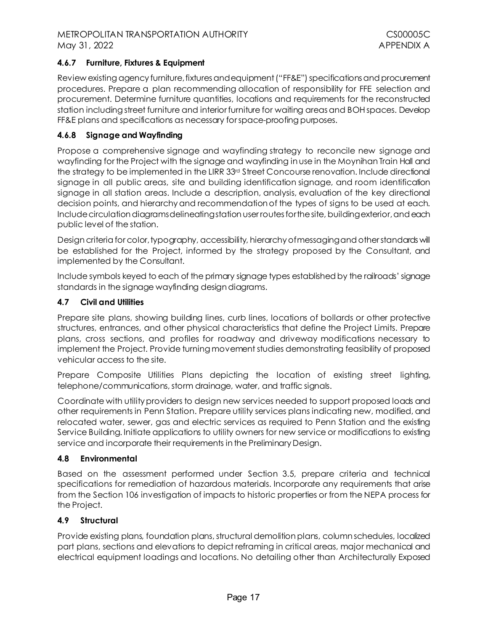### **4.6.7 Furniture, Fixtures & Equipment**

Review existing agency furniture, fixtures and equipment ("FF&E") specifications and procurement procedures. Prepare a plan recommending allocation of responsibility for FFE selection and procurement. Determine furniture quantities, locations and requirements for the reconstructed station including street furniture and interior furniture for waiting areas and BOH spaces. Develop FF&E plans and specifications as necessary for space-proofing purposes.

### **4.6.8 Signage and Wayfinding**

Propose a comprehensive signage and wayfinding strategy to reconcile new signage and wayfinding for the Project with the signage and wayfinding in use in the Moynihan Train Hall and the strategy to be implemented in the LIRR 33<sup>rd</sup> Street Concourse renovation. Include directional signage in all public areas, site and building identification signage, and room identification signage in all station areas. Include a description, analysis, evaluation of the key directional decision points, and hierarchy and recommendation of the types of signs to be used at each. Include circulation diagrams delineating station user routes for the site, building exterior, and each public level of the station.

Design criteria for color, typography, accessibility, hierarchy of messagingand other standards will be established for the Project, informed by the strategy proposed by the Consultant, and implemented by the Consultant.

Include symbols keyed to each of the primary signage types established by the railroads' signage standards in the signage wayfinding design diagrams.

#### <span id="page-20-0"></span>**4.7 Civil and Utilities**

Prepare site plans, showing building lines, curb lines, locations of bollards or other protective structures, entrances, and other physical characteristics that define the Project Limits. Prepare plans, cross sections, and profiles for roadway and driveway modifications necessary to implement the Project. Provide turning movement studies demonstrating feasibility of proposed vehicular access to the site.

Prepare Composite Utilities Plans depicting the location of existing street lighting, telephone/communications, storm drainage, water, and traffic signals.

Coordinate with utility providers to design new services needed to support proposed loads and other requirements in Penn Station. Prepare utility services plans indicating new, modified, and relocated water, sewer, gas and electric services as required to Penn Station and the existing Service Building. Initiate applications to utility owners for new service or modifications to existing service and incorporate their requirements in the Preliminary Design.

#### <span id="page-20-1"></span>**4.8 Environmental**

Based on the assessment performed under Section [3.5,](#page-16-0) prepare criteria and technical specifications for remediation of hazardous materials. Incorporate any requirements that arise from the Section 106 investigation of impacts to historic properties or from the NEPA process for the Project.

#### <span id="page-20-2"></span>**4.9 Structural**

Provide existing plans, foundation plans, structural demolition plans, column schedules, localized part plans, sections and elevations to depict reframing in critical areas, major mechanical and electrical equipment loadings and locations. No detailing other than Architecturally Exposed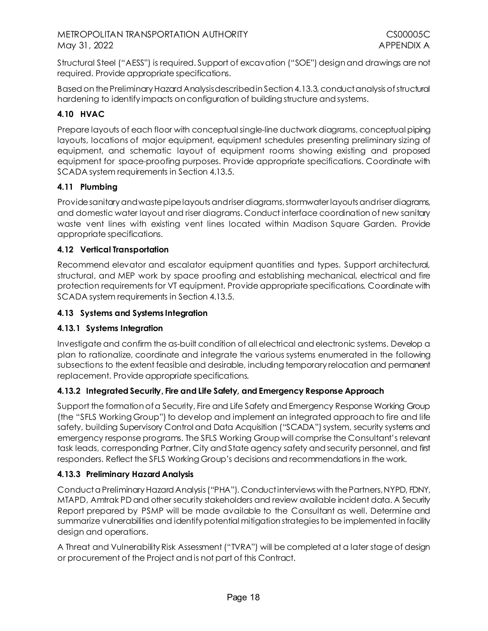Structural Steel ("AESS") is required. Support of excavation ("SOE") design and drawings are not required. Provide appropriate specifications.

Based on the Preliminary Hazard Analysisdescribed in Section [4.13.3,](#page-21-4) conduct analysis of structural hardening to identify impacts on configuration of building structure and systems.

# <span id="page-21-0"></span>**4.10 HVAC**

Prepare layouts of each floor with conceptual single-line ductwork diagrams, conceptual piping layouts, locations of major equipment, equipment schedules presenting preliminary sizing of equipment, and schematic layout of equipment rooms showing existing and proposed equipment for space-proofing purposes. Provide appropriate specifications. Coordinate with SCADA system requirements in Section [4.13.5](#page-22-0).

# <span id="page-21-1"></span>**4.11 Plumbing**

Provide sanitary and waste pipe layouts and riser diagrams, stormwater layouts and riser diagrams, and domestic water layout and riser diagrams. Conduct interface coordination of new sanitary waste vent lines with existing vent lines located within Madison Square Garden. Provide appropriate specifications.

## <span id="page-21-2"></span>**4.12 Vertical Transportation**

Recommend elevator and escalator equipment quantities and types. Support architectural, structural, and MEP work by space proofing and establishing mechanical, electrical and fire protection requirements for VT equipment. Provide appropriate specifications. Coordinate with SCADA system requirements in Sectio[n 4.13.5](#page-22-0).

## <span id="page-21-3"></span>**4.13 Systems and Systems Integration**

# **4.13.1 Systems Integration**

Investigate and confirm the as-built condition of all electrical and electronic systems. Develop a plan to rationalize, coordinate and integrate the various systems enumerated in the following subsections to the extent feasible and desirable, including temporary relocation and permanent replacement. Provide appropriate specifications.

# **4.13.2 Integrated Security, Fire and Life Safety, and Emergency Response Approach**

Support the formation of a Security, Fire and Life Safety and Emergency Response Working Group (the "SFLS Working Group") to develop and implement an integrated approach to fire and life safety, building Supervisory Control and Data Acquisition ("SCADA") system, security systems and emergency response programs. The SFLS Working Group will comprise the Consultant's relevant task leads, corresponding Partner, City and State agency safety and security personnel, and first responders. Reflect the SFLS Working Group's decisions and recommendations in the work.

#### <span id="page-21-4"></span>**4.13.3 Preliminary Hazard Analysis**

Conduct a Preliminary Hazard Analysis ("PHA"). Conduct interviews with the Partners, NYPD, FDNY, MTAPD, Amtrak PD and other security stakeholders and review available incident data. A Security Report prepared by PSMP will be made available to the Consultant as well. Determine and summarize vulnerabilities and identify potential mitigation strategies to be implemented in facility design and operations.

A Threat and Vulnerability Risk Assessment ("TVRA") will be completed at a later stage of design or procurement of the Project and is not part of this Contract.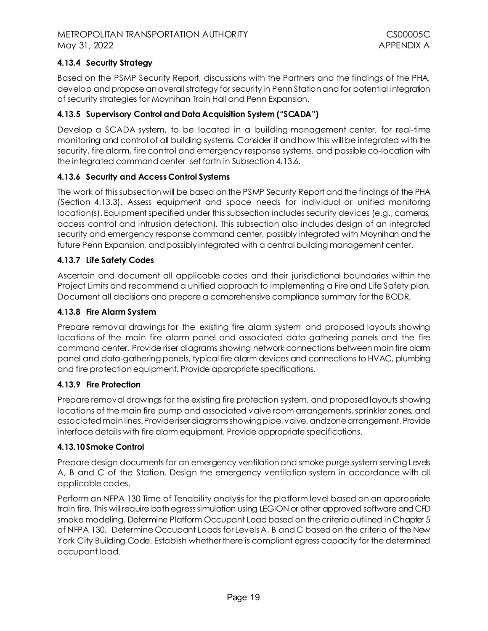# **4.13.4 Security Strategy**

Based on the PSMP Security Report, discussions with the Partners and the findings of the PHA, develop and propose an overall strategy for security in Penn Station and for potential integration of security strategies for Moynihan Train Hall and Penn Expansion.

# <span id="page-22-0"></span>**4.13.5 Supervisory Control and Data Acquisition System ("SCADA")**

Develop a SCADA system, to be located in a building management center, for real-time monitoring and control of all building systems. Consider if and how this will be integrated with the security, fire alarm, fire control and emergency response systems, and possible co-location with the integrated command center set forth in Subsectio[n 4.13.6](#page-22-1).

# <span id="page-22-1"></span>**4.13.6 Security and Access Control Systems**

The work of this subsection will be based on the PSMP Security Report and the findings of the PHA (Section [4.13.3\)](#page-21-4). Assess equipment and space needs for individual or unified monitoring location(s). Equipment specified under this subsection includes security devices (e.g., cameras, access control and intrusion detection). This subsection also includes design of an integrated security and emergency response command center, possibly integrated with Moynihan and the future Penn Expansion, and possibly integrated with a central building management center.

# **4.13.7 Life Safety Codes**

Ascertain and document all applicable codes and their jurisdictional boundaries within the Project Limits and recommend a unified approach to implementing a Fire and Life Safety plan. Document all decisions and prepare a comprehensive compliance summary for the BODR.

### **4.13.8 Fire Alarm System**

Prepare removal drawings for the existing fire alarm system and proposed layouts showing locations of the main fire alarm panel and associated data gathering panels and the fire command center. Provide riser diagrams showing network connections between main fire alarm panel and data-gathering panels, typical fire alarm devices and connections to HVAC, plumbing and fire protection equipment. Provide appropriate specifications.

#### **4.13.9 Fire Protection**

Prepare removal drawings for the existing fire protection system, and proposed layouts showing locations of the main fire pump and associated valve room arrangements, sprinkler zones, and associated main lines. Provide riser diagrams showingpipe,valve, and zone arrangement. Provide interface details with fire alarm equipment. Provide appropriate specifications.

#### **4.13.10Smoke Control**

Prepare design documents for an emergency ventilation and smoke purge system serving Levels A, B and C of the Station. Design the emergency ventilation system in accordance with all applicable codes.

Perform an NFPA 130 Time of Tenability analysis for the platform level based on an appropriate train fire. This will require both egress simulation using LEGION or other approved software and CFD smoke modeling. Determine Platform Occupant Load based on the criteria outlined in Chapter 5 of NFPA 130. Determine Occupant Loads for Levels A, B and C based on the criteria of the New York City Building Code. Establish whether there is compliant egress capacity for the determined occupant load.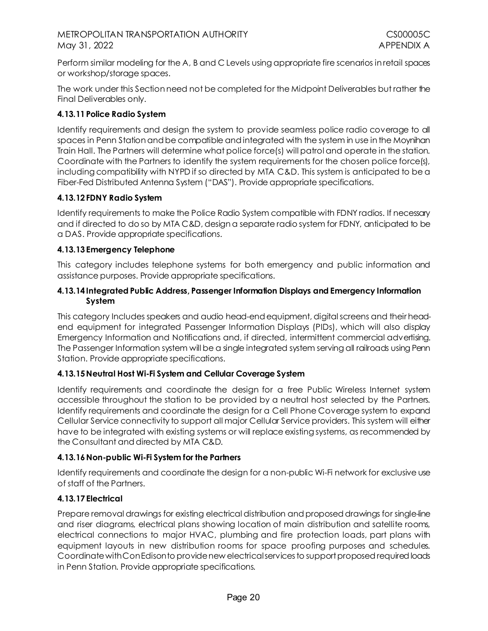Perform similar modeling for the A, B and C Levels using appropriate fire scenarios in retail spaces or workshop/storage spaces.

The work under this Section need not be completed for the Midpoint Deliverables but rather the Final Deliverables only.

# **4.13.11Police Radio System**

Identify requirements and design the system to provide seamless police radio coverage to all spaces in Penn Station and be compatible and integrated with the system in use in the Moynihan Train Hall. The Partners will determine what police force(s) will patrol and operate in the station. Coordinate with the Partners to identify the system requirements for the chosen police force(s), including compatibility with NYPD if so directed by MTA C&D. This system is anticipated to be a Fiber-Fed Distributed Antenna System ("DAS"). Provide appropriate specifications.

# **4.13.12FDNY Radio System**

Identify requirements to make the Police Radio System compatible with FDNY radios. If necessary and if directed to do so by MTA C&D, design a separate radio system for FDNY, anticipated to be a DAS. Provide appropriate specifications.

## **4.13.13Emergency Telephone**

This category includes telephone systems for both emergency and public information and assistance purposes. Provide appropriate specifications.

### **4.13.14Integrated Public Address, Passenger Information Displays and Emergency Information System**

This category Includes speakers and audio head-end equipment, digital screens and their headend equipment for integrated Passenger Information Displays (PIDs), which will also display Emergency Information and Notifications and, if directed, intermittent commercial advertising. The Passenger Information system will be a single integrated system serving all railroads using Penn Station. Provide appropriate specifications.

# **4.13.15Neutral Host Wi-Fi System and Cellular Coverage System**

Identify requirements and coordinate the design for a free Public Wireless Internet system accessible throughout the station to be provided by a neutral host selected by the Partners. Identify requirements and coordinate the design for a Cell Phone Coverage system to expand Cellular Service connectivity to support all major Cellular Service providers. This system will either have to be integrated with existing systems or will replace existing systems, as recommended by the Consultant and directed by MTA C&D.

# **4.13.16Non-public Wi-Fi System for the Partners**

Identify requirements and coordinate the design for a non-public Wi-Fi network for exclusive use of staff of the Partners.

# **4.13.17Electrical**

Prepare removal drawings for existing electrical distribution and proposed drawings for single-line and riser diagrams, electrical plans showing location of main distribution and satellite rooms, electrical connections to major HVAC, plumbing and fire protection loads, part plans with equipment layouts in new distribution rooms for space proofing purposes and schedules. Coordinate with Con Edison to provide new electrical services to support proposed required loads in Penn Station. Provide appropriate specifications.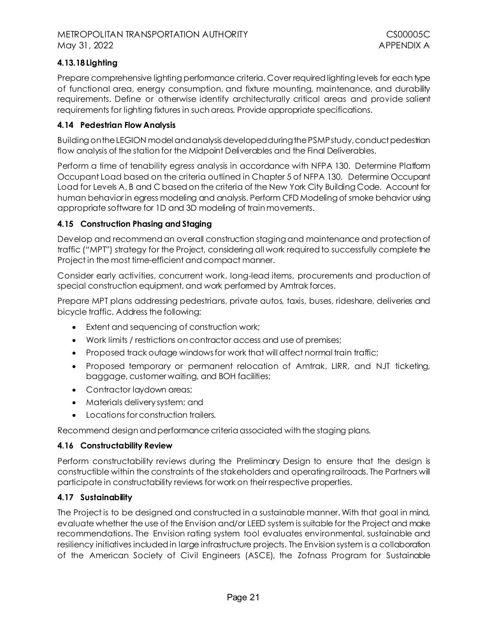# **4.13.18Lighting**

Prepare comprehensive lighting performance criteria. Cover required lighting levels for each type of functional area, energy consumption, and fixture mounting, maintenance, and durability requirements. Define or otherwise identify architecturally critical areas and provide salient requirements for lighting fixtures in such areas. Provide appropriate specifications.

## <span id="page-24-0"></span>**4.14 Pedestrian Flow Analysis**

Building on the LEGION model and analysis developed during the PSMPstudy, conduct pedestrian flow analysis of the station for the Midpoint Deliverables and the Final Deliverables.

Perform a time of tenability egress analysis in accordance with NFPA 130. Determine Platform Occupant Load based on the criteria outlined in Chapter 5 of NFPA 130. Determine Occupant Load for Levels A, B and C based on the criteria of the New York City Building Code. Account for human behavior in egress modeling and analysis. Perform CFD Modeling of smoke behavior using appropriate software for 1D and 3D modeling of train movements.

#### <span id="page-24-1"></span>**4.15 Construction Phasing and Staging**

Develop and recommend an overall construction staging and maintenance and protection of traffic ("MPT") strategy for the Project, considering all work required to successfully complete the Project in the most time-efficient and compact manner.

Consider early activities, concurrent work, long-lead items, procurements and production of special construction equipment, and work performed by Amtrak forces.

Prepare MPT plans addressing pedestrians, private autos, taxis, buses, rideshare, deliveries and bicycle traffic. Address the following:

- Extent and sequencing of construction work;
- Work limits / restrictions on contractor access and use of premises;
- Proposed track outage windows for work that will affect normal train traffic;
- Proposed temporary or permanent relocation of Amtrak, LIRR, and NJT ticketing, baggage, customer waiting, and BOH facilities;
- Contractor laydown areas;
- Materials delivery system; and
- Locations for construction trailers.

Recommend design and performance criteria associated with the staging plans.

#### <span id="page-24-2"></span>**4.16 Constructability Review**

Perform constructability reviews during the Preliminary Design to ensure that the design is constructible within the constraints of the stakeholders and operating railroads. The Partners will participate in constructability reviews for work on their respective properties.

#### <span id="page-24-3"></span>**4.17 Sustainability**

The Project is to be designed and constructed in a sustainable manner. With that goal in mind, evaluate whether the use of the Envision and/or LEED system is suitable for the Project and make recommendations. The Envision rating system tool evaluates environmental, sustainable and resiliency initiatives included in large infrastructure projects. The Envision system is a collaboration of the American Society of Civil Engineers (ASCE), the Zofnass Program for Sustainable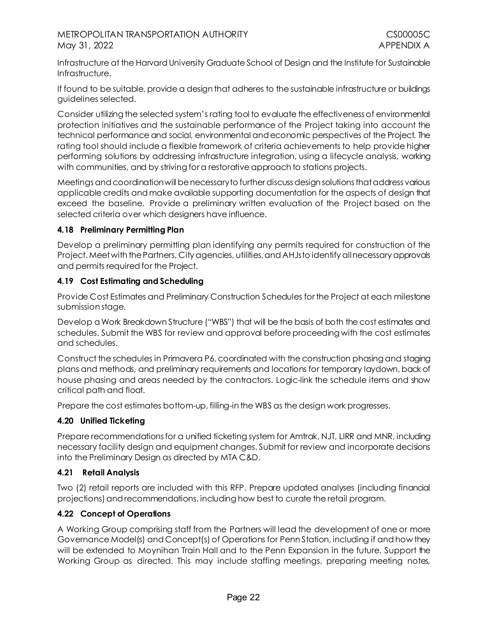Infrastructure at the Harvard University Graduate School of Design and the Institute for Sustainable Infrastructure.

If found to be suitable, provide a design that adheres to the sustainable infrastructure or buildings guidelines selected.

Consider utilizing the selected system's rating tool to evaluate the effectiveness of environmental protection initiatives and the sustainable performance of the Project taking into account the technical performance and social, environmental and economic perspectives of the Project. The rating tool should include a flexible framework of criteria achievements to help provide higher performing solutions by addressing infrastructure integration, using a lifecycle analysis, working with communities, and by striving for a restorative approach to stations projects.

Meetings and coordination will be necessary to further discuss design solutions that address various applicable credits and make available supporting documentation for the aspects of design that exceed the baseline. Provide a preliminary written evaluation of the Project based on the selected criteria over which designers have influence.

## <span id="page-25-0"></span>**4.18 Preliminary Permitting Plan**

Develop a preliminary permitting plan identifying any permits required for construction of the Project. Meet with the Partners, City agencies, utilities, and AHJs to identify all necessary approvals and permits required for the Project.

## <span id="page-25-1"></span>**4.19 Cost Estimating and Scheduling**

Provide Cost Estimates and Preliminary Construction Schedules for the Project at each milestone submission stage.

Develop a Work Breakdown Structure ("WBS") that will be the basis of both the cost estimates and schedules. Submit the WBS for review and approval before proceeding with the cost estimates and schedules.

Construct the schedules in Primavera P6, coordinated with the construction phasing and staging plans and methods, and preliminary requirements and locations for temporary laydown, back of house phasing and areas needed by the contractors. Logic-link the schedule items and show critical path and float.

Prepare the cost estimates bottom-up, filling-in the WBS as the design work progresses.

#### <span id="page-25-2"></span>**4.20 Unified Ticketing**

Prepare recommendations for a unified ticketing system for Amtrak, NJT, LIRR and MNR, including necessary facility design and equipment changes. Submit for review and incorporate decisions into the Preliminary Design as directed by MTA C&D.

# <span id="page-25-3"></span>**4.21 Retail Analysis**

Two (2) retail reports are included with this RFP. Prepare updated analyses (including financial projections) and recommendations, including how best to curate the retail program.

# <span id="page-25-4"></span>**4.22 Concept of Operations**

A Working Group comprising staff from the Partners will lead the development of one or more Governance Model(s) and Concept(s) of Operations for Penn Station, including if and how they will be extended to Moynihan Train Hall and to the Penn Expansion in the future. Support the Working Group as directed. This may include staffing meetings, preparing meeting notes,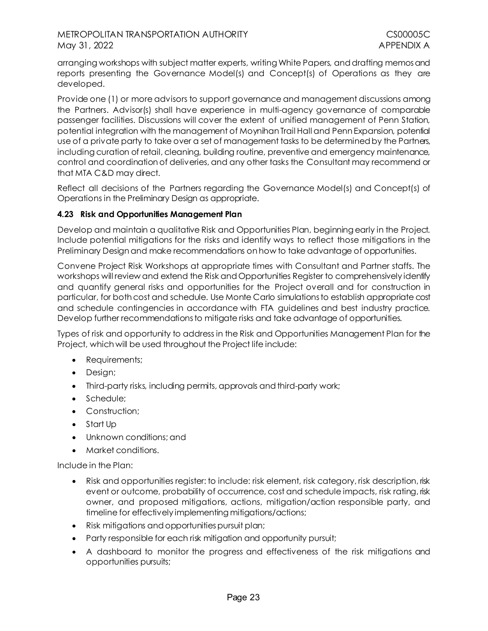arranging workshops with subject matter experts, writing White Papers, and drafting memos and reports presenting the Governance Model(s) and Concept(s) of Operations as they are developed.

Provide one (1) or more advisors to support governance and management discussions among the Partners. Advisor(s) shall have experience in multi-agency governance of comparable passenger facilities. Discussions will cover the extent of unified management of Penn Station, potential integration with the management of Moynihan Trail Hall and Penn Expansion, potential use of a private party to take over a set of management tasks to be determined by the Partners, including curation of retail, cleaning, building routine, preventive and emergency maintenance, control and coordination of deliveries, and any other tasks the Consultant may recommend or that MTA C&D may direct.

Reflect all decisions of the Partners regarding the Governance Model(s) and Concept(s) of Operations in the Preliminary Design as appropriate.

#### <span id="page-26-0"></span>**4.23 Risk and Opportunities Management Plan**

Develop and maintain a qualitative Risk and Opportunities Plan, beginning early in the Project. Include potential mitigations for the risks and identify ways to reflect those mitigations in the Preliminary Design and make recommendations on how to take advantage of opportunities.

Convene Project Risk Workshops at appropriate times with Consultant and Partner staffs. The workshops will review and extend the Risk and Opportunities Register to comprehensively identify and quantify general risks and opportunities for the Project overall and for construction in particular, for both cost and schedule. Use Monte Carlo simulations to establish appropriate cost and schedule contingencies in accordance with FTA guidelines and best industry practice. Develop further recommendations to mitigate risks and take advantage of opportunities.

Types of risk and opportunity to address in the Risk and Opportunities Management Plan for the Project, which will be used throughout the Project life include:

- Requirements;
- Design;
- Third-party risks, including permits, approvals and third-party work;
- Schedule:
- Construction;
- Start Up
- Unknown conditions; and
- Market conditions.

Include in the Plan:

- Risk and opportunities register: to include: risk element, risk category, risk description, risk event or outcome, probability of occurrence, cost and schedule impacts, risk rating, risk owner, and proposed mitigations, actions, mitigation/action responsible party, and timeline for effectively implementing mitigations/actions;
- Risk mitigations and opportunities pursuit plan;
- Party responsible for each risk mitigation and opportunity pursuit;
- A dashboard to monitor the progress and effectiveness of the risk mitigations and opportunities pursuits;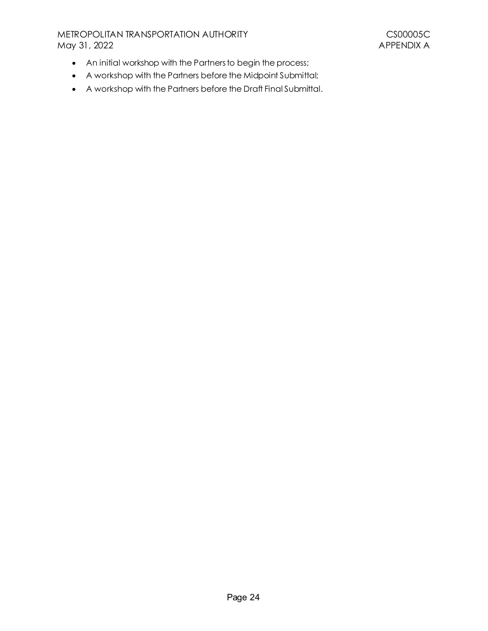# METROPOLITAN TRANSPORTATION AUTHORITY<br>May 31, 2022 APPENDIX A May 31, 2022

- An initial workshop with the Partners to begin the process;
- A workshop with the Partners before the Midpoint Submittal;
- A workshop with the Partners before the Draft Final Submittal.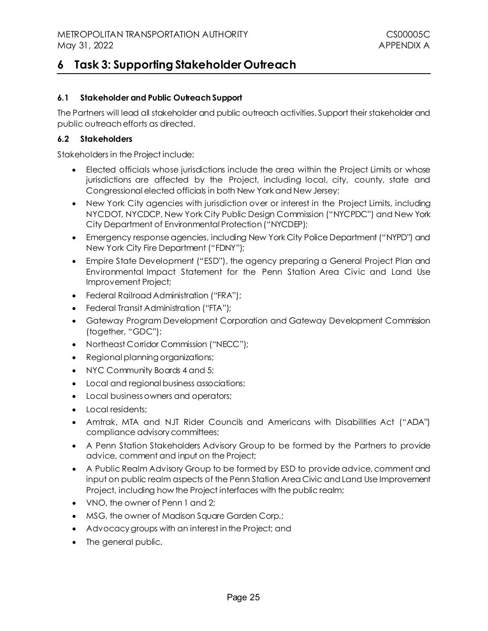# <span id="page-28-0"></span>**6 Task 3: Supporting Stakeholder Outreach**

## <span id="page-28-1"></span>**6.1 Stakeholder and Public Outreach Support**

The Partners will lead all stakeholder and public outreach activities. Support their stakeholder and public outreach efforts as directed.

#### <span id="page-28-2"></span>**6.2 Stakeholders**

Stakeholders in the Project include:

- Elected officials whose jurisdictions include the area within the Project Limits or whose jurisdictions are affected by the Project, including local, city, county, state and Congressional elected officials in both New York and New Jersey;
- New York City agencies with jurisdiction over or interest in the Project Limits, including NYCDOT, NYCDCP, New York City Public Design Commission ("NYCPDC") and New York City Department of Environmental Protection ("NYCDEP);
- Emergency response agencies, including New York City Police Department ("NYPD") and New York City Fire Department ("FDNY");
- Empire State Development ("ESD"), the agency preparing a General Project Plan and Environmental Impact Statement for the Penn Station Area Civic and Land Use Improvement Project;
- Federal Railroad Administration ("FRA");
- Federal Transit Administration ("FTA");
- Gateway Program Development Corporation and Gateway Development Commission (together, "GDC");
- Northeast Corridor Commission ("NECC");
- Regional planning organizations;
- NYC Community Boards 4 and 5;
- Local and regional business associations;
- Local business owners and operators;
- Local residents:
- Amtrak, MTA and NJT Rider Councils and Americans with Disabilities Act ("ADA") compliance advisory committees;
- A Penn Station Stakeholders Advisory Group to be formed by the Partners to provide advice, comment and input on the Project;
- A Public Realm Advisory Group to be formed by ESD to provide advice, comment and input on public realm aspects of the Penn Station Area Civic and Land Use Improvement Project, including how the Project interfaces with the public realm;
- VNO, the owner of Penn 1 and 2:
- MSG, the owner of Madison Square Garden Corp.;
- Advocacy groups with an interest in the Project; and
- The general public.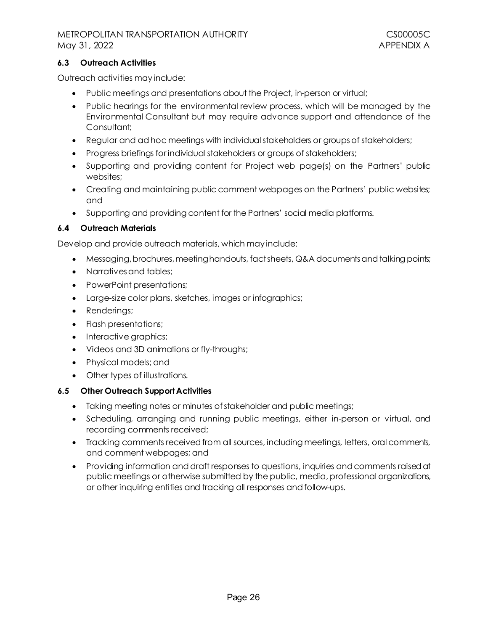#### <span id="page-29-0"></span>**6.3 Outreach Activities**

Outreach activities may include:

- Public meetings and presentations about the Project, in-person or virtual;
- Public hearings for the environmental review process, which will be managed by the Environmental Consultant but may require advance support and attendance of the Consultant;
- Regular and ad hoc meetings with individual stakeholders or groups of stakeholders;
- Progress briefings for individual stakeholders or groups of stakeholders;
- Supporting and providing content for Project web page(s) on the Partners' public websites;
- Creating and maintaining public comment webpages on the Partners' public websites; and
- Supporting and providing content for the Partners' social media platforms.

## <span id="page-29-1"></span>**6.4 Outreach Materials**

Develop and provide outreach materials, which may include:

- Messaging, brochures, meeting handouts, fact sheets, Q&A documents and talking points;
- Narratives and tables;
- PowerPoint presentations;
- Large-size color plans, sketches, images or infographics;
- Renderings;
- Flash presentations;
- Interactive graphics;
- Videos and 3D animations or fly-throughs;
- Physical models; and
- Other types of illustrations.

#### <span id="page-29-2"></span>**6.5 Other Outreach Support Activities**

- Taking meeting notes or minutes of stakeholder and public meetings;
- Scheduling, arranging and running public meetings, either in-person or virtual, and recording comments received;
- Tracking comments received from all sources, including meetings, letters, oral comments, and comment webpages; and
- Providing information and draft responses to questions, inquiries and comments raisedat public meetings or otherwise submitted by the public, media, professional organizations, or other inquiring entities and tracking all responses and follow-ups.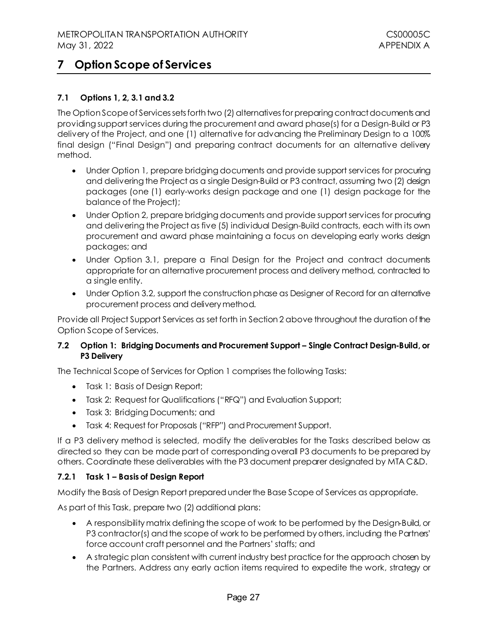# <span id="page-30-0"></span>**7 Option Scope of Services**

# <span id="page-30-1"></span>**7.1 Options 1, 2, 3.1 and 3.2**

The Option Scope of Services sets forth two (2) alternatives for preparing contract documents and providing support services during the procurement and award phase(s) for a Design-Build or P3 delivery of the Project, and one (1) alternative for advancing the Preliminary Design to a 100% final design ("Final Design") and preparing contract documents for an alternative delivery method.

- Under Option 1, prepare bridging documents and provide support services for procuring and delivering the Project as a single Design-Build or P3 contract, assuming two (2) design packages (one (1) early-works design package and one (1) design package for the balance of the Project);
- Under Option 2, prepare bridging documents and provide support services for procuring and delivering the Project as five (5) individual Design-Build contracts, each with its own procurement and award phase maintaining a focus on developing early works design packages; and
- Under Option 3.1, prepare a Final Design for the Project and contract documents appropriate for an alternative procurement process and delivery method, contracted to a single entity.
- Under Option 3.2, support the construction phase as Designer of Record for an alternative procurement process and delivery method.

Provide all Project Support Services as set forth in Section 2 above throughout the duration of the Option Scope of Services.

#### <span id="page-30-2"></span>**7.2 Option 1: Bridging Documents and Procurement Support – Single Contract Design-Build, or P3 Delivery**

The Technical Scope of Services for Option 1 comprises the following Tasks:

- Task 1: Basis of Design Report;
- Task 2: Request for Qualifications ("RFQ") and Evaluation Support;
- Task 3: Bridging Documents; and
- Task 4: Request for Proposals ("RFP") and Procurement Support.

If a P3 delivery method is selected, modify the deliverables for the Tasks described below as directed so they can be made part of corresponding overall P3 documents to be prepared by others. Coordinate these deliverables with the P3 document preparer designated by MTA C&D.

#### **7.2.1 Task 1 – Basis of Design Report**

Modify the Basis of Design Report prepared under the Base Scope of Services as appropriate.

As part of this Task, prepare two (2) additional plans:

- A responsibility matrix defining the scope of work to be performed by the Design-Build, or P3 contractor(s) and the scope of work to be performed by others, including the Partners' force account craft personnel and the Partners' staffs; and
- A strategic plan consistent with current industry best practice for the approach chosen by the Partners. Address any early action items required to expedite the work, strategy or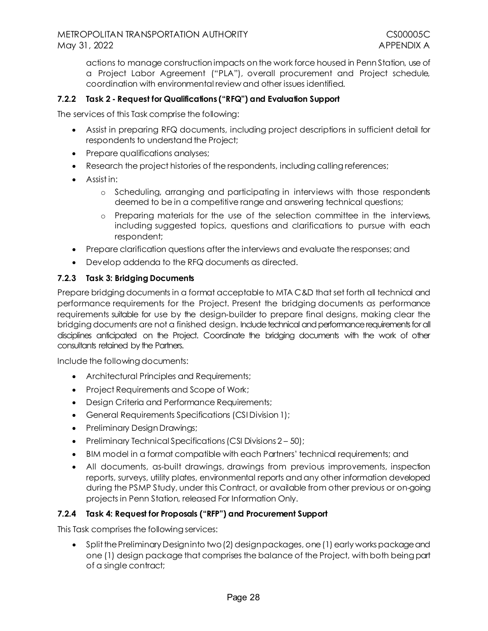actions to manage construction impacts on the work force housed in Penn Station, use of a Project Labor Agreement ("PLA"), overall procurement and Project schedule, coordination with environmental review and other issues identified.

## **7.2.2 Task 2 - Request for Qualifications ("RFQ") and Evaluation Support**

The services of this Task comprise the following:

- Assist in preparing RFQ documents, including project descriptions in sufficient detail for respondents to understand the Project;
- Prepare qualifications analyses;
- Research the project histories of the respondents, including calling references;
- Assist in:
	- o Scheduling, arranging and participating in interviews with those respondents deemed to be in a competitive range and answering technical questions;
	- o Preparing materials for the use of the selection committee in the interviews, including suggested topics, questions and clarifications to pursue with each respondent;
- Prepare clarification questions after the interviews and evaluate the responses; and
- Develop addenda to the RFQ documents as directed.

#### **7.2.3 Task 3: Bridging Documents**

Prepare bridging documents in a format acceptable to MTA C&D that set forth all technical and performance requirements for the Project. Present the bridging documents as performance requirements suitable for use by the design‐builder to prepare final designs, making clear the bridging documents are not a finished design. Include technical and performance requirements for all disciplines anticipated on the Project. Coordinate the bridging documents with the work of other consultants retained by the Partners.

Include the following documents:

- Architectural Principles and Requirements;
- Project Requirements and Scope of Work;
- Design Criteria and Performance Requirements;
- General Requirements Specifications (CSI Division 1);
- Preliminary Design Drawings;
- Preliminary Technical Specifications (CSI Divisions 2 50);
- BIM model in a format compatible with each Partners' technical requirements; and
- All documents, as-built drawings, drawings from previous improvements, inspection reports, surveys, utility plates, environmental reports and any other information developed during the PSMP Study, under this Contract, or available from other previous or on-going projects in Penn Station, released For Information Only.

#### **7.2.4 Task 4: Request for Proposals ("RFP") and Procurement Support**

This Task comprises the following services:

• Split the Preliminary Designinto two (2) design packages, one (1) early works package and one (1) design package that comprises the balance of the Project, with both being part of a single contract;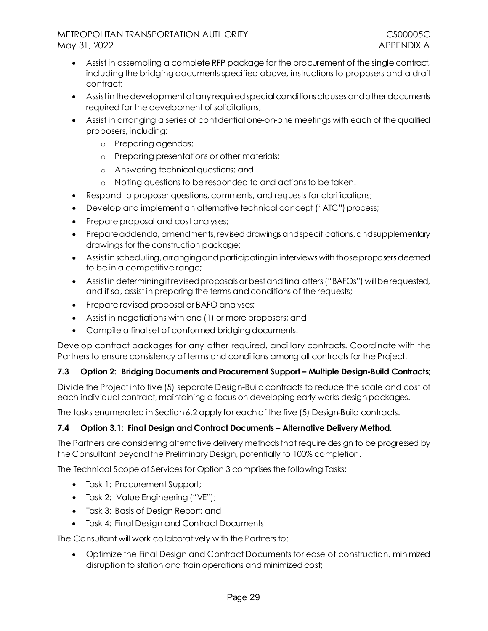- Assist in assembling a complete RFP package for the procurement of the single contract, including the bridging documents specified above, instructions to proposers and a draft contract;
- Assist in the development of any required special conditions clauses and other documents required for the development of solicitations;
- Assist in arranging a series of confidential one-on-one meetings with each of the qualified proposers, including:
	- o Preparing agendas;
	- o Preparing presentations or other materials;
	- o Answering technical questions; and
	- o Noting questions to be responded to and actions to be taken.
- Respond to proposer questions, comments, and requests for clarifications;
- Develop and implement an alternative technical concept ("ATC") process;
- Prepare proposal and cost analyses;
- Prepare addenda, amendments, revised drawings and specifications, and supplementary drawings for the construction package;
- Assist in scheduling, arranging and participating in interviews with those proposers deemed to be in a competitive range;
- Assist in determining if revised proposals or best and final offers ("BAFOs") will be requested, and if so, assist in preparing the terms and conditions of the requests;
- Prepare revised proposal or BAFO analyses;
- Assist in negotiations with one (1) or more proposers; and
- Compile a final set of conformed bridging documents.

Develop contract packages for any other required, ancillary contracts. Coordinate with the Partners to ensure consistency of terms and conditions among all contracts for the Project.

# <span id="page-32-0"></span>**7.3 Option 2: Bridging Documents and Procurement Support – Multiple Design-Build Contracts;**

Divide the Project into five (5) separate Design-Build contracts to reduce the scale and cost of each individual contract, maintaining a focus on developing early works design packages.

The tasks enumerated in Sectio[n 6.2](#page-30-2) apply for each of the five (5) Design-Build contracts.

# <span id="page-32-1"></span>**7.4 Option 3.1: Final Design and Contract Documents – Alternative Delivery Method.**

The Partners are considering alternative delivery methods that require design to be progressed by the Consultant beyond the Preliminary Design, potentially to 100% completion.

The Technical Scope of Services for Option 3 comprises the following Tasks:

- Task 1: Procurement Support;
- Task 2: Value Engineering ("VE");
- Task 3: Basis of Design Report; and
- Task 4: Final Design and Contract Documents

The Consultant will work collaboratively with the Partners to:

• Optimize the Final Design and Contract Documents for ease of construction, minimized disruption to station and train operations and minimized cost;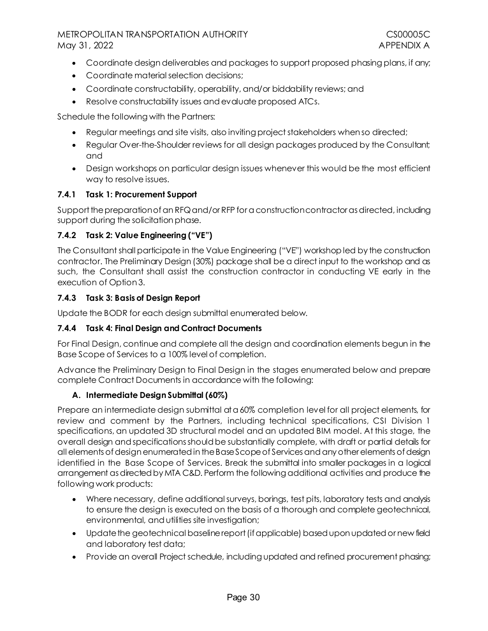- Coordinate design deliverables and packages to support proposed phasing plans, if any;
- Coordinate material selection decisions;
- Coordinate constructability, operability, and/or biddability reviews; and
- Resolve constructability issues and evaluate proposed ATCs.

Schedule the following with the Partners:

- Regular meetings and site visits, also inviting project stakeholders when so directed;
- Regular Over-the-Shoulder reviews for all design packages produced by the Consultant; and
- Design workshops on particular design issues whenever this would be the most efficient way to resolve issues.

## **7.4.1 Task 1: Procurement Support**

Support the preparation of an RFQand/or RFP for a construction contractoras directed, including support during the solicitation phase.

#### **7.4.2 Task 2: Value Engineering ("VE")**

The Consultant shall participate in the Value Engineering ("VE") workshop led by the construction contractor. The Preliminary Design (30%) package shall be a direct input to the workshop and as such, the Consultant shall assist the construction contractor in conducting VE early in the execution of Option 3.

## **7.4.3 Task 3: Basis of Design Report**

Update the BODR for each design submittal enumerated below.

#### **7.4.4 Task 4: Final Design and Contract Documents**

For Final Design, continue and complete all the design and coordination elements begun in the Base Scope of Services to a 100% level of completion.

Advance the Preliminary Design to Final Design in the stages enumerated below and prepare complete Contract Documents in accordance with the following:

#### **A. Intermediate Design Submittal (60%)**

Prepare an intermediate design submittal at a 60% completion level for all project elements, for review and comment by the Partners, including technical specifications, CSI Division 1 specifications, an updated 3D structural model and an updated BIM model. At this stage, the overall design and specifications should be substantially complete, with draft or partial details for all elements of design enumerated in the Base Scope of Services and any other elements of design identified in the Base Scope of Services. Break the submittal into smaller packages in a logical arrangement as directed by MTA C&D. Perform the following additional activities and produce the following work products:

- Where necessary, define additional surveys, borings, test pits, laboratory tests and analysis to ensure the design is executed on the basis of a thorough and complete geotechnical, environmental, and utilities site investigation;
- Update the geotechnical baseline report (if applicable) based upon updated or new field and laboratory test data;
- Provide an overall Project schedule, including updated and refined procurement phasing;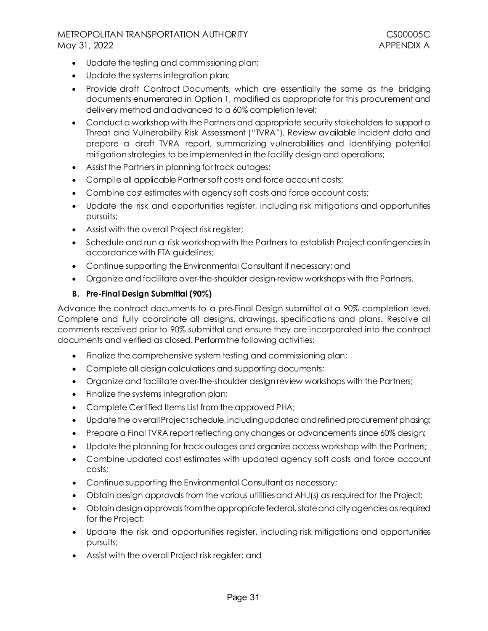- Update the testing and commissioning plan;
- Update the systems integration plan;
- Provide draft Contract Documents, which are essentially the same as the bridging documents enumerated in Option 1, modified as appropriate for this procurement and delivery methodand advanced to a 60% completion level;
- Conduct a workshop with the Partners and appropriate security stakeholders to support a Threat and Vulnerability Risk Assessment ("TVRA"). Review available incident data and prepare a draft TVRA report, summarizing vulnerabilities and identifying potential mitigation strategies to be implemented in the facility design and operations;
- Assist the Partners in planning for track outages;
- Compile all applicable Partner soft costs and force account costs;
- Combine cost estimates with agency soft costs and force account costs;
- Update the risk and opportunities register, including risk mitigations and opportunities pursuits;
- Assist with the overall Project risk register;
- Schedule and run a risk workshop with the Partners to establish Project contingencies in accordance with FTA guidelines;
- Continue supporting the Environmental Consultant if necessary; and
- Organize and facilitate over-the-shoulder design-review workshops with the Partners.

# **B. Pre-Final Design Submittal (90%)**

Advance the contract documents to a pre‐Final Design submittal at a 90% completion level. Complete and fully coordinate all designs, drawings, specifications and plans. Resolve all comments received prior to 90% submittal and ensure they are incorporated into the contract documents and verified as closed. Perform the following activities:

- Finalize the comprehensive system testing and commissioning plan;
- Complete all design calculations and supporting documents;
- Organize and facilitate over-the-shoulder design review workshops with the Partners;
- Finalize the systems integration plan;
- Complete Certified Items List from the approved PHA;
- Update the overall Project schedule, including updated and refined procurement phasing;
- Prepare a Final TVRA report reflecting any changes or advancements since 60% design;
- Update the planning for track outages and organize access workshop with the Partners;
- Combine updated cost estimates with updated agency soft costs and force account costs;
- Continue supporting the Environmental Consultant as necessary;
- Obtain design approvals from the various utilitiesand AHJ(s) as required for the Project;
- Obtain design approvals from the appropriate federal, state and city agencies as required for the Project;
- Update the risk and opportunities register, including risk mitigations and opportunities pursuits;
- Assist with the overall Project risk register; and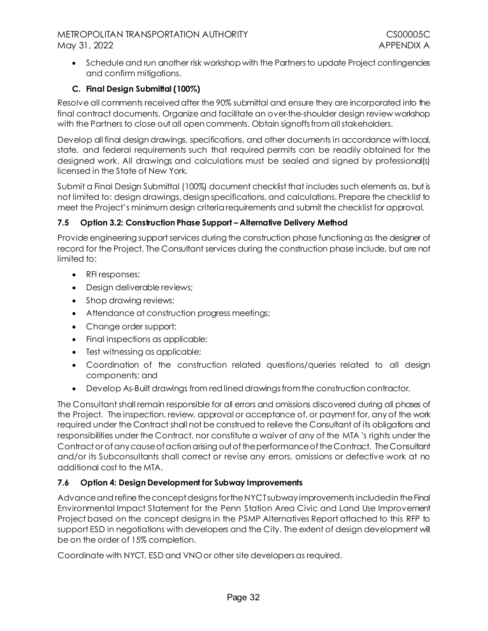• Schedule and run another risk workshop with the Partners to update Project contingencies and confirm mitigations.

# **C. Final Design Submittal (100%)**

Resolve all comments received after the 90% submittal and ensure they are incorporated into the final contract documents. Organize and facilitate an over-the-shoulder design review workshop with the Partners to close out all open comments. Obtain signoffs from all stakeholders.

Develop all final design drawings, specifications, and other documents in accordance with local, state, and federal requirements such that required permits can be readily obtained for the designed work. All drawings and calculations must be sealed and signed by professional(s) licensed in the State of New York.

Submit a Final Design Submittal (100%) document checklist that includes such elements as, but is not limited to: design drawings, design specifications, and calculations. Prepare the checklist to meet the Project's minimum design criteria requirements and submit the checklist for approval.

## <span id="page-35-0"></span>**7.5 Option 3.2: Construction Phase Support – Alternative Delivery Method**

Provide engineering support services during the construction phase functioning as the designer of record for the Project. The Consultant services during the construction phase include, but are not limited to:

- RFI responses;
- Design deliverable reviews;
- Shop drawing reviews;
- Attendance at construction progress meetings;
- Change order support;
- Final inspections as applicable;
- Test witnessing as applicable;
- Coordination of the construction related questions/queries related to all design components; and
- Develop As-Built drawings from red lined drawings from the construction contractor.

The Consultant shall remain responsible for all errors and omissions discovered during all phases of the Project. The inspection, review, approval or acceptance of, or payment for, any of the work required under the Contract shall not be construed to relieve the Consultant of its obligations and responsibilities under the Contract, nor constitute a waiver of any of the MTA 's rights under the Contract or of any cause of action arising out of the performance of the Contract. The Consultant and/or its Subconsultants shall correct or revise any errors, omissions or defective work at no additional cost to the MTA.

# <span id="page-35-1"></span>**7.6 Option 4: Design Development for Subway Improvements**

Advance and refine the concept designs for the NYCT subway improvements included in the Final Environmental Impact Statement for the Penn Station Area Civic and Land Use Improvement Project based on the concept designs in the PSMP Alternatives Report attached to this RFP to support ESD in negotiations with developers and the City. The extent of design development will be on the order of 15% completion.

Coordinate with NYCT, ESD and VNO or other site developers as required.